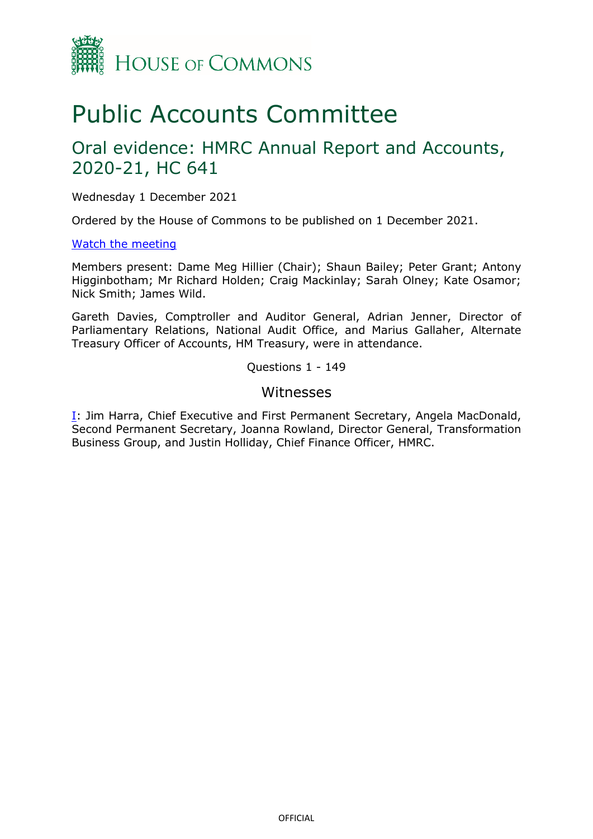

# Public Accounts Committee

## Oral evidence: HMRC Annual Report and Accounts, 2020-21, HC 641

Wednesday 1 December 2021

Ordered by the House of Commons to be published on 1 December 2021.

#### [Watch the meeting](https://parliamentlive.tv/Event/Index/d41af347-292b-4dcd-a87b-caca502ee109)

Members present: Dame Meg Hillier (Chair); Shaun Bailey; Peter Grant; Antony Higginbotham; Mr Richard Holden; Craig Mackinlay; Sarah Olney; Kate Osamor; Nick Smith; James Wild.

Gareth Davies, Comptroller and Auditor General, Adrian Jenner, Director of Parliamentary Relations, National Audit Office, and Marius Gallaher, Alternate Treasury Officer of Accounts, HM Treasury, were in attendance.

Questions 1 - 149

#### Witnesses

[I:](#page-1-0) Jim Harra, Chief Executive and First Permanent Secretary, Angela MacDonald, Second Permanent Secretary, Joanna Rowland, Director General, Transformation Business Group, and Justin Holliday, Chief Finance Officer, HMRC.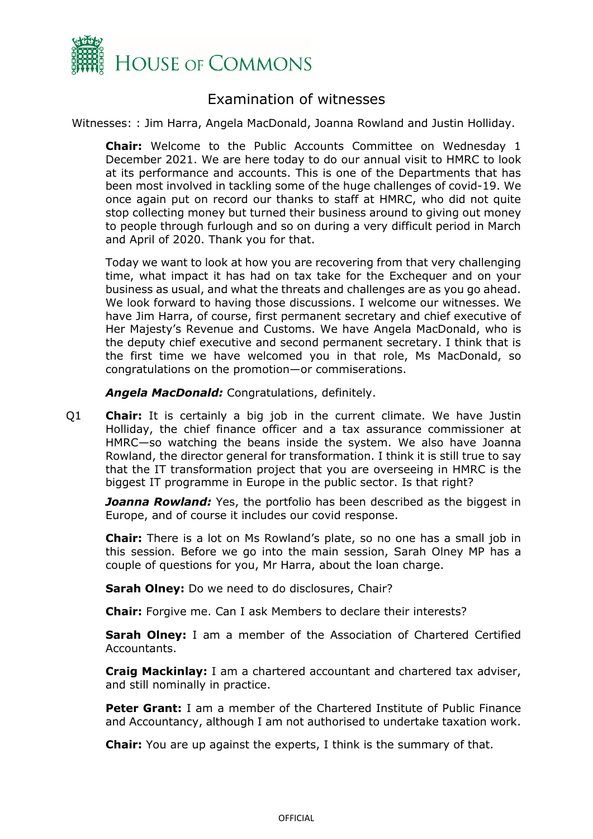

### Examination of witnesses

<span id="page-1-0"></span>Witnesses: : Jim Harra, Angela MacDonald, Joanna Rowland and Justin Holliday.

**Chair:** Welcome to the Public Accounts Committee on Wednesday 1 December 2021. We are here today to do our annual visit to HMRC to look at its performance and accounts. This is one of the Departments that has been most involved in tackling some of the huge challenges of covid-19. We once again put on record our thanks to staff at HMRC, who did not quite stop collecting money but turned their business around to giving out money to people through furlough and so on during a very difficult period in March and April of 2020. Thank you for that.

Today we want to look at how you are recovering from that very challenging time, what impact it has had on tax take for the Exchequer and on your business as usual, and what the threats and challenges are as you go ahead. We look forward to having those discussions. I welcome our witnesses. We have Jim Harra, of course, first permanent secretary and chief executive of Her Majesty's Revenue and Customs. We have Angela MacDonald, who is the deputy chief executive and second permanent secretary. I think that is the first time we have welcomed you in that role, Ms MacDonald, so congratulations on the promotion—or commiserations.

*Angela MacDonald:* Congratulations, definitely.

Q1 **Chair:** It is certainly a big job in the current climate. We have Justin Holliday, the chief finance officer and a tax assurance commissioner at HMRC—so watching the beans inside the system. We also have Joanna Rowland, the director general for transformation. I think it is still true to say that the IT transformation project that you are overseeing in HMRC is the biggest IT programme in Europe in the public sector. Is that right?

**Joanna Rowland:** Yes, the portfolio has been described as the biggest in Europe, and of course it includes our covid response.

**Chair:** There is a lot on Ms Rowland's plate, so no one has a small job in this session. Before we go into the main session, Sarah Olney MP has a couple of questions for you, Mr Harra, about the loan charge.

**Sarah Olney:** Do we need to do disclosures, Chair?

**Chair:** Forgive me. Can I ask Members to declare their interests?

**Sarah Olney:** I am a member of the Association of Chartered Certified Accountants.

**Craig Mackinlay:** I am a chartered accountant and chartered tax adviser, and still nominally in practice.

**Peter Grant:** I am a member of the Chartered Institute of Public Finance and Accountancy, although I am not authorised to undertake taxation work.

**Chair:** You are up against the experts, I think is the summary of that.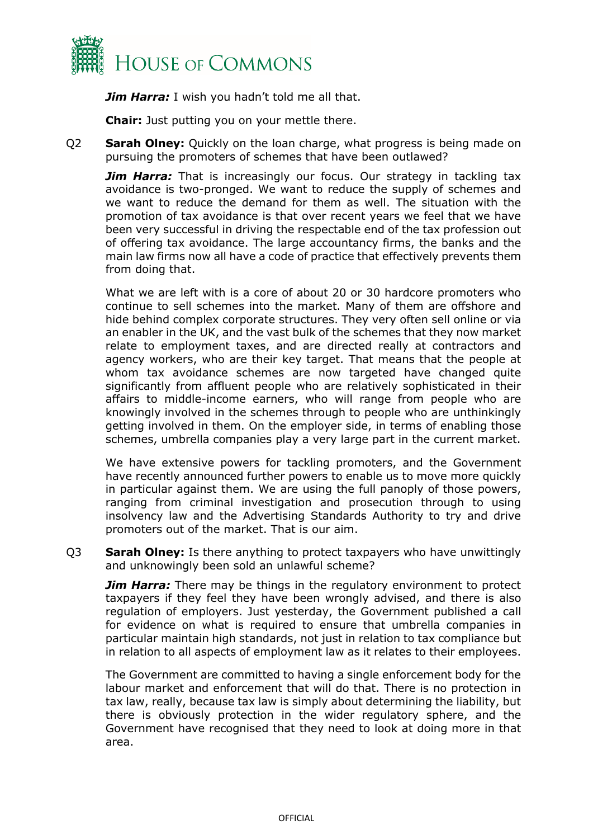

**Jim Harra:** I wish you hadn't told me all that.

**Chair:** Just putting you on your mettle there.

Q2 **Sarah Olney:** Quickly on the loan charge, what progress is being made on pursuing the promoters of schemes that have been outlawed?

**Jim Harra:** That is increasingly our focus. Our strategy in tackling tax avoidance is two-pronged. We want to reduce the supply of schemes and we want to reduce the demand for them as well. The situation with the promotion of tax avoidance is that over recent years we feel that we have been very successful in driving the respectable end of the tax profession out of offering tax avoidance. The large accountancy firms, the banks and the main law firms now all have a code of practice that effectively prevents them from doing that.

What we are left with is a core of about 20 or 30 hardcore promoters who continue to sell schemes into the market. Many of them are offshore and hide behind complex corporate structures. They very often sell online or via an enabler in the UK, and the vast bulk of the schemes that they now market relate to employment taxes, and are directed really at contractors and agency workers, who are their key target. That means that the people at whom tax avoidance schemes are now targeted have changed quite significantly from affluent people who are relatively sophisticated in their affairs to middle-income earners, who will range from people who are knowingly involved in the schemes through to people who are unthinkingly getting involved in them. On the employer side, in terms of enabling those schemes, umbrella companies play a very large part in the current market.

We have extensive powers for tackling promoters, and the Government have recently announced further powers to enable us to move more quickly in particular against them. We are using the full panoply of those powers, ranging from criminal investigation and prosecution through to using insolvency law and the Advertising Standards Authority to try and drive promoters out of the market. That is our aim.

Q3 **Sarah Olney:** Is there anything to protect taxpayers who have unwittingly and unknowingly been sold an unlawful scheme?

*Jim Harra:* There may be things in the regulatory environment to protect taxpayers if they feel they have been wrongly advised, and there is also regulation of employers. Just yesterday, the Government published a call for evidence on what is required to ensure that umbrella companies in particular maintain high standards, not just in relation to tax compliance but in relation to all aspects of employment law as it relates to their employees.

The Government are committed to having a single enforcement body for the labour market and enforcement that will do that. There is no protection in tax law, really, because tax law is simply about determining the liability, but there is obviously protection in the wider regulatory sphere, and the Government have recognised that they need to look at doing more in that area.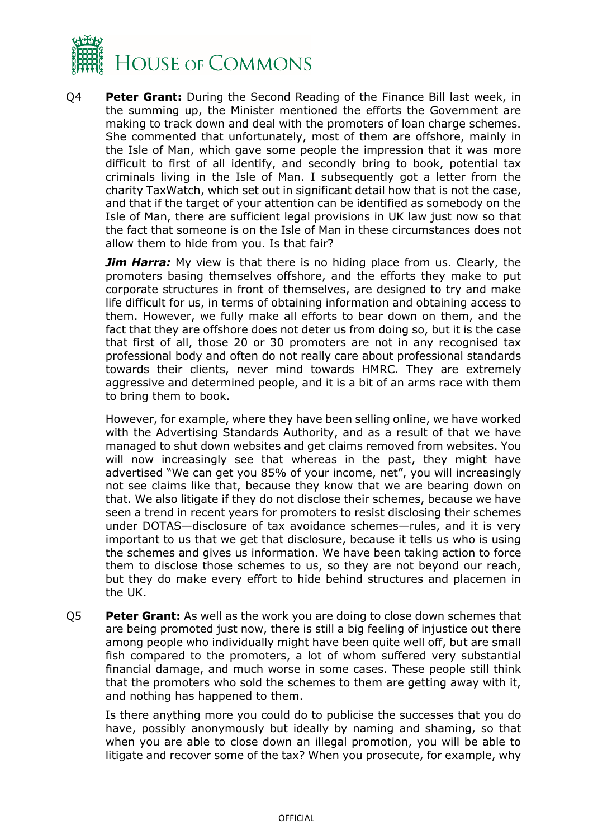

Q4 **Peter Grant:** During the Second Reading of the Finance Bill last week, in the summing up, the Minister mentioned the efforts the Government are making to track down and deal with the promoters of loan charge schemes. She commented that unfortunately, most of them are offshore, mainly in the Isle of Man, which gave some people the impression that it was more difficult to first of all identify, and secondly bring to book, potential tax criminals living in the Isle of Man. I subsequently got a letter from the charity TaxWatch, which set out in significant detail how that is not the case, and that if the target of your attention can be identified as somebody on the Isle of Man, there are sufficient legal provisions in UK law just now so that the fact that someone is on the Isle of Man in these circumstances does not allow them to hide from you. Is that fair?

*Jim Harra:* My view is that there is no hiding place from us. Clearly, the promoters basing themselves offshore, and the efforts they make to put corporate structures in front of themselves, are designed to try and make life difficult for us, in terms of obtaining information and obtaining access to them. However, we fully make all efforts to bear down on them, and the fact that they are offshore does not deter us from doing so, but it is the case that first of all, those 20 or 30 promoters are not in any recognised tax professional body and often do not really care about professional standards towards their clients, never mind towards HMRC. They are extremely aggressive and determined people, and it is a bit of an arms race with them to bring them to book.

However, for example, where they have been selling online, we have worked with the Advertising Standards Authority, and as a result of that we have managed to shut down websites and get claims removed from websites. You will now increasingly see that whereas in the past, they might have advertised "We can get you 85% of your income, net", you will increasingly not see claims like that, because they know that we are bearing down on that. We also litigate if they do not disclose their schemes, because we have seen a trend in recent years for promoters to resist disclosing their schemes under DOTAS—disclosure of tax avoidance schemes—rules, and it is very important to us that we get that disclosure, because it tells us who is using the schemes and gives us information. We have been taking action to force them to disclose those schemes to us, so they are not beyond our reach, but they do make every effort to hide behind structures and placemen in the UK.

Q5 **Peter Grant:** As well as the work you are doing to close down schemes that are being promoted just now, there is still a big feeling of injustice out there among people who individually might have been quite well off, but are small fish compared to the promoters, a lot of whom suffered very substantial financial damage, and much worse in some cases. These people still think that the promoters who sold the schemes to them are getting away with it, and nothing has happened to them.

Is there anything more you could do to publicise the successes that you do have, possibly anonymously but ideally by naming and shaming, so that when you are able to close down an illegal promotion, you will be able to litigate and recover some of the tax? When you prosecute, for example, why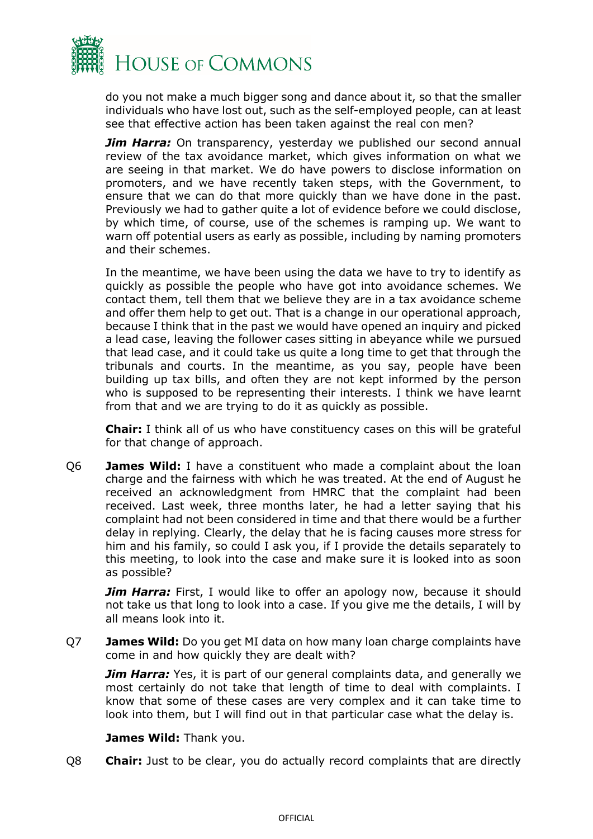

do you not make a much bigger song and dance about it, so that the smaller individuals who have lost out, such as the self-employed people, can at least see that effective action has been taken against the real con men?

**Jim Harra:** On transparency, yesterday we published our second annual review of the tax avoidance market, which gives information on what we are seeing in that market. We do have powers to disclose information on promoters, and we have recently taken steps, with the Government, to ensure that we can do that more quickly than we have done in the past. Previously we had to gather quite a lot of evidence before we could disclose, by which time, of course, use of the schemes is ramping up. We want to warn off potential users as early as possible, including by naming promoters and their schemes.

In the meantime, we have been using the data we have to try to identify as quickly as possible the people who have got into avoidance schemes. We contact them, tell them that we believe they are in a tax avoidance scheme and offer them help to get out. That is a change in our operational approach, because I think that in the past we would have opened an inquiry and picked a lead case, leaving the follower cases sitting in abeyance while we pursued that lead case, and it could take us quite a long time to get that through the tribunals and courts. In the meantime, as you say, people have been building up tax bills, and often they are not kept informed by the person who is supposed to be representing their interests. I think we have learnt from that and we are trying to do it as quickly as possible.

**Chair:** I think all of us who have constituency cases on this will be grateful for that change of approach.

Q6 **James Wild:** I have a constituent who made a complaint about the loan charge and the fairness with which he was treated. At the end of August he received an acknowledgment from HMRC that the complaint had been received. Last week, three months later, he had a letter saying that his complaint had not been considered in time and that there would be a further delay in replying. Clearly, the delay that he is facing causes more stress for him and his family, so could I ask you, if I provide the details separately to this meeting, to look into the case and make sure it is looked into as soon as possible?

**Jim Harra:** First, I would like to offer an apology now, because it should not take us that long to look into a case. If you give me the details, I will by all means look into it.

Q7 **James Wild:** Do you get MI data on how many loan charge complaints have come in and how quickly they are dealt with?

*Jim Harra:* Yes, it is part of our general complaints data, and generally we most certainly do not take that length of time to deal with complaints. I know that some of these cases are very complex and it can take time to look into them, but I will find out in that particular case what the delay is.

#### **James Wild:** Thank you.

Q8 **Chair:** Just to be clear, you do actually record complaints that are directly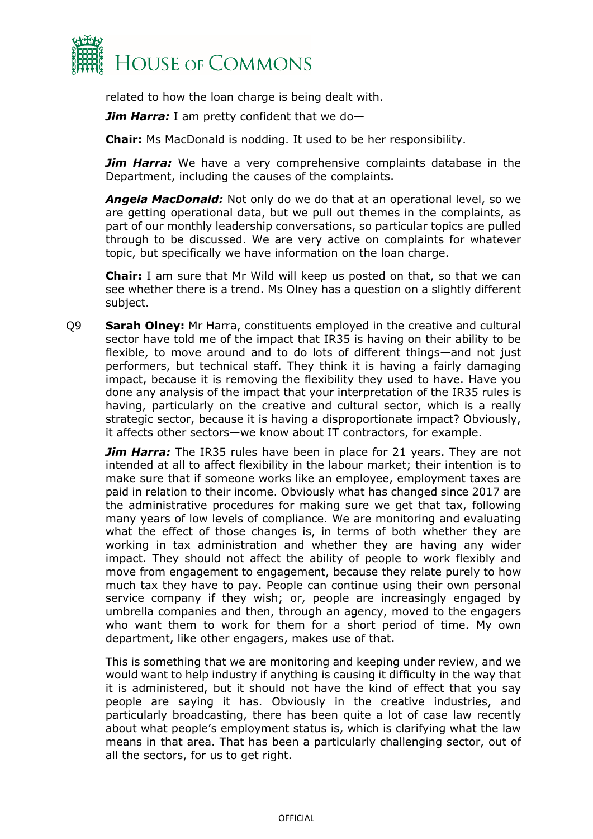

related to how the loan charge is being dealt with.

*Jim Harra:* I am pretty confident that we do—

**Chair:** Ms MacDonald is nodding. It used to be her responsibility.

*Jim Harra:* We have a very comprehensive complaints database in the Department, including the causes of the complaints.

*Angela MacDonald:* Not only do we do that at an operational level, so we are getting operational data, but we pull out themes in the complaints, as part of our monthly leadership conversations, so particular topics are pulled through to be discussed. We are very active on complaints for whatever topic, but specifically we have information on the loan charge.

**Chair:** I am sure that Mr Wild will keep us posted on that, so that we can see whether there is a trend. Ms Olney has a question on a slightly different subject.

Q9 **Sarah Olney:** Mr Harra, constituents employed in the creative and cultural sector have told me of the impact that IR35 is having on their ability to be flexible, to move around and to do lots of different things—and not just performers, but technical staff. They think it is having a fairly damaging impact, because it is removing the flexibility they used to have. Have you done any analysis of the impact that your interpretation of the IR35 rules is having, particularly on the creative and cultural sector, which is a really strategic sector, because it is having a disproportionate impact? Obviously, it affects other sectors—we know about IT contractors, for example.

**Jim Harra:** The IR35 rules have been in place for 21 years. They are not intended at all to affect flexibility in the labour market; their intention is to make sure that if someone works like an employee, employment taxes are paid in relation to their income. Obviously what has changed since 2017 are the administrative procedures for making sure we get that tax, following many years of low levels of compliance. We are monitoring and evaluating what the effect of those changes is, in terms of both whether they are working in tax administration and whether they are having any wider impact. They should not affect the ability of people to work flexibly and move from engagement to engagement, because they relate purely to how much tax they have to pay. People can continue using their own personal service company if they wish; or, people are increasingly engaged by umbrella companies and then, through an agency, moved to the engagers who want them to work for them for a short period of time. My own department, like other engagers, makes use of that.

This is something that we are monitoring and keeping under review, and we would want to help industry if anything is causing it difficulty in the way that it is administered, but it should not have the kind of effect that you say people are saying it has. Obviously in the creative industries, and particularly broadcasting, there has been quite a lot of case law recently about what people's employment status is, which is clarifying what the law means in that area. That has been a particularly challenging sector, out of all the sectors, for us to get right.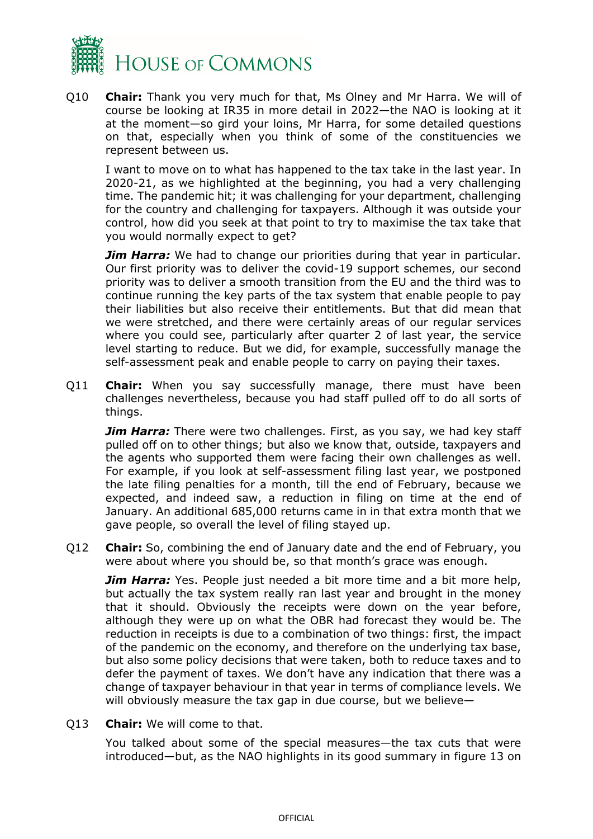

Q10 **Chair:** Thank you very much for that, Ms Olney and Mr Harra. We will of course be looking at IR35 in more detail in 2022—the NAO is looking at it at the moment—so gird your loins, Mr Harra, for some detailed questions on that, especially when you think of some of the constituencies we represent between us.

I want to move on to what has happened to the tax take in the last year. In 2020-21, as we highlighted at the beginning, you had a very challenging time. The pandemic hit; it was challenging for your department, challenging for the country and challenging for taxpayers. Although it was outside your control, how did you seek at that point to try to maximise the tax take that you would normally expect to get?

*Jim Harra:* We had to change our priorities during that year in particular. Our first priority was to deliver the covid-19 support schemes, our second priority was to deliver a smooth transition from the EU and the third was to continue running the key parts of the tax system that enable people to pay their liabilities but also receive their entitlements. But that did mean that we were stretched, and there were certainly areas of our regular services where you could see, particularly after quarter 2 of last year, the service level starting to reduce. But we did, for example, successfully manage the self-assessment peak and enable people to carry on paying their taxes.

Q11 **Chair:** When you say successfully manage, there must have been challenges nevertheless, because you had staff pulled off to do all sorts of things.

**Jim Harra:** There were two challenges. First, as you say, we had key staff pulled off on to other things; but also we know that, outside, taxpayers and the agents who supported them were facing their own challenges as well. For example, if you look at self-assessment filing last year, we postponed the late filing penalties for a month, till the end of February, because we expected, and indeed saw, a reduction in filing on time at the end of January. An additional 685,000 returns came in in that extra month that we gave people, so overall the level of filing stayed up.

Q12 **Chair:** So, combining the end of January date and the end of February, you were about where you should be, so that month's grace was enough.

**Jim Harra:** Yes. People just needed a bit more time and a bit more help, but actually the tax system really ran last year and brought in the money that it should. Obviously the receipts were down on the year before, although they were up on what the OBR had forecast they would be. The reduction in receipts is due to a combination of two things: first, the impact of the pandemic on the economy, and therefore on the underlying tax base, but also some policy decisions that were taken, both to reduce taxes and to defer the payment of taxes. We don't have any indication that there was a change of taxpayer behaviour in that year in terms of compliance levels. We will obviously measure the tax gap in due course, but we believe—

Q13 **Chair:** We will come to that.

You talked about some of the special measures—the tax cuts that were introduced—but, as the NAO highlights in its good summary in figure 13 on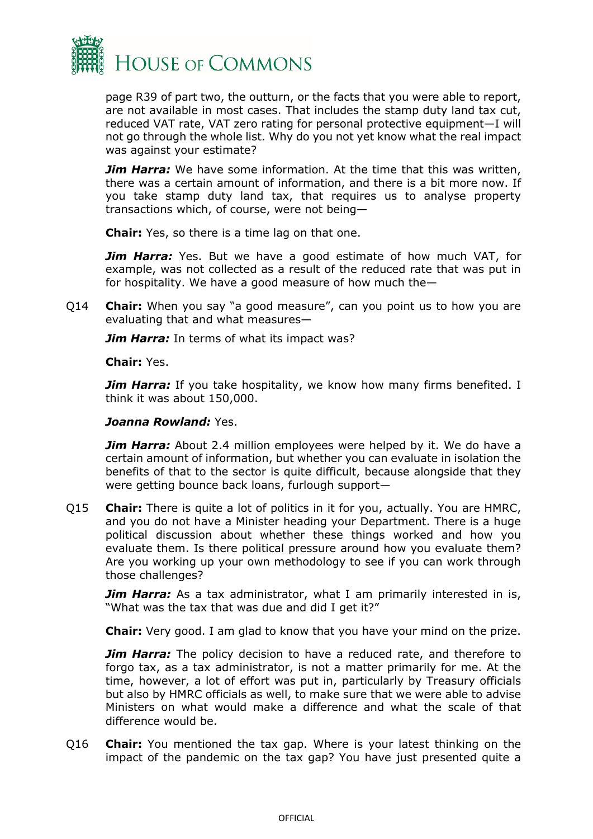

page R39 of part two, the outturn, or the facts that you were able to report, are not available in most cases. That includes the stamp duty land tax cut, reduced VAT rate, VAT zero rating for personal protective equipment—I will not go through the whole list. Why do you not yet know what the real impact was against your estimate?

*Jim Harra:* We have some information. At the time that this was written, there was a certain amount of information, and there is a bit more now. If you take stamp duty land tax, that requires us to analyse property transactions which, of course, were not being—

**Chair:** Yes, so there is a time lag on that one.

*Jim Harra:* Yes. But we have a good estimate of how much VAT, for example, was not collected as a result of the reduced rate that was put in for hospitality. We have a good measure of how much the—

Q14 **Chair:** When you say "a good measure", can you point us to how you are evaluating that and what measures—

**Jim Harra:** In terms of what its impact was?

**Chair:** Yes.

*Jim Harra:* If you take hospitality, we know how many firms benefited. I think it was about 150,000.

#### *Joanna Rowland:* Yes.

**Jim Harra:** About 2.4 million employees were helped by it. We do have a certain amount of information, but whether you can evaluate in isolation the benefits of that to the sector is quite difficult, because alongside that they were getting bounce back loans, furlough support—

Q15 **Chair:** There is quite a lot of politics in it for you, actually. You are HMRC, and you do not have a Minister heading your Department. There is a huge political discussion about whether these things worked and how you evaluate them. Is there political pressure around how you evaluate them? Are you working up your own methodology to see if you can work through those challenges?

*Jim Harra:* As a tax administrator, what I am primarily interested in is, "What was the tax that was due and did I get it?"

**Chair:** Very good. I am glad to know that you have your mind on the prize.

**Jim Harra:** The policy decision to have a reduced rate, and therefore to forgo tax, as a tax administrator, is not a matter primarily for me. At the time, however, a lot of effort was put in, particularly by Treasury officials but also by HMRC officials as well, to make sure that we were able to advise Ministers on what would make a difference and what the scale of that difference would be.

Q16 **Chair:** You mentioned the tax gap. Where is your latest thinking on the impact of the pandemic on the tax gap? You have just presented quite a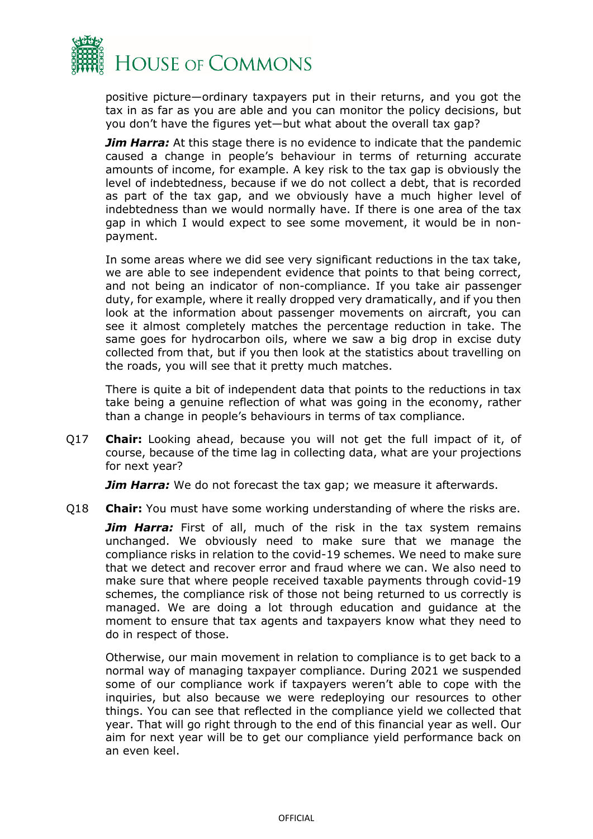

positive picture—ordinary taxpayers put in their returns, and you got the tax in as far as you are able and you can monitor the policy decisions, but you don't have the figures yet—but what about the overall tax gap?

*Jim Harra:* At this stage there is no evidence to indicate that the pandemic caused a change in people's behaviour in terms of returning accurate amounts of income, for example. A key risk to the tax gap is obviously the level of indebtedness, because if we do not collect a debt, that is recorded as part of the tax gap, and we obviously have a much higher level of indebtedness than we would normally have. If there is one area of the tax gap in which I would expect to see some movement, it would be in nonpayment.

In some areas where we did see very significant reductions in the tax take, we are able to see independent evidence that points to that being correct, and not being an indicator of non-compliance. If you take air passenger duty, for example, where it really dropped very dramatically, and if you then look at the information about passenger movements on aircraft, you can see it almost completely matches the percentage reduction in take. The same goes for hydrocarbon oils, where we saw a big drop in excise duty collected from that, but if you then look at the statistics about travelling on the roads, you will see that it pretty much matches.

There is quite a bit of independent data that points to the reductions in tax take being a genuine reflection of what was going in the economy, rather than a change in people's behaviours in terms of tax compliance.

Q17 **Chair:** Looking ahead, because you will not get the full impact of it, of course, because of the time lag in collecting data, what are your projections for next year?

*Jim Harra:* We do not forecast the tax gap; we measure it afterwards.

Q18 **Chair:** You must have some working understanding of where the risks are.

**Jim Harra:** First of all, much of the risk in the tax system remains unchanged. We obviously need to make sure that we manage the compliance risks in relation to the covid-19 schemes. We need to make sure that we detect and recover error and fraud where we can. We also need to make sure that where people received taxable payments through covid-19 schemes, the compliance risk of those not being returned to us correctly is managed. We are doing a lot through education and guidance at the moment to ensure that tax agents and taxpayers know what they need to do in respect of those.

Otherwise, our main movement in relation to compliance is to get back to a normal way of managing taxpayer compliance. During 2021 we suspended some of our compliance work if taxpayers weren't able to cope with the inquiries, but also because we were redeploying our resources to other things. You can see that reflected in the compliance yield we collected that year. That will go right through to the end of this financial year as well. Our aim for next year will be to get our compliance yield performance back on an even keel.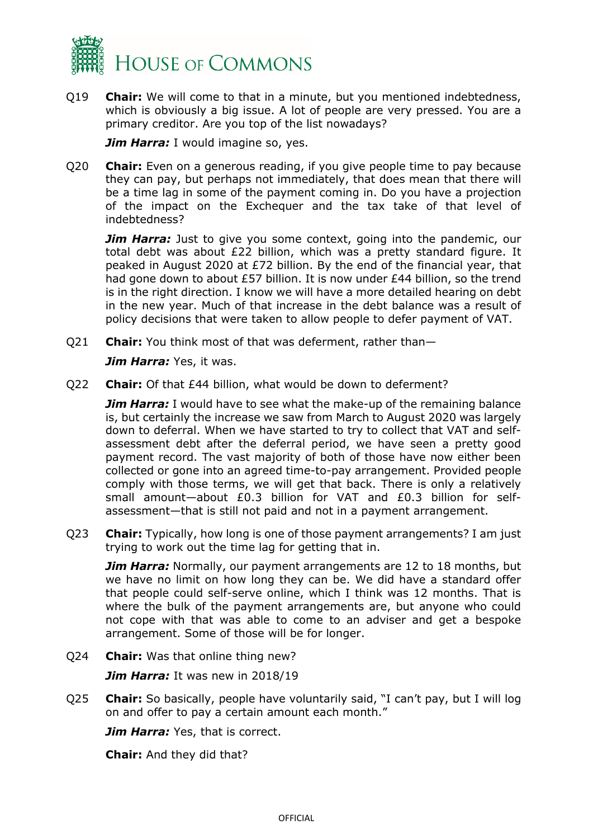

Q19 **Chair:** We will come to that in a minute, but you mentioned indebtedness, which is obviously a big issue. A lot of people are very pressed. You are a primary creditor. Are you top of the list nowadays?

*Jim Harra:* I would imagine so, yes.

Q20 **Chair:** Even on a generous reading, if you give people time to pay because they can pay, but perhaps not immediately, that does mean that there will be a time lag in some of the payment coming in. Do you have a projection of the impact on the Exchequer and the tax take of that level of indebtedness?

*Jim Harra:* Just to give you some context, going into the pandemic, our total debt was about £22 billion, which was a pretty standard figure. It peaked in August 2020 at £72 billion. By the end of the financial year, that had gone down to about £57 billion. It is now under £44 billion, so the trend is in the right direction. I know we will have a more detailed hearing on debt in the new year. Much of that increase in the debt balance was a result of policy decisions that were taken to allow people to defer payment of VAT.

Q21 **Chair:** You think most of that was deferment, rather than—

*Jim Harra:* Yes, it was.

Q22 **Chair:** Of that £44 billion, what would be down to deferment?

**Jim Harra:** I would have to see what the make-up of the remaining balance is, but certainly the increase we saw from March to August 2020 was largely down to deferral. When we have started to try to collect that VAT and selfassessment debt after the deferral period, we have seen a pretty good payment record. The vast majority of both of those have now either been collected or gone into an agreed time-to-pay arrangement. Provided people comply with those terms, we will get that back. There is only a relatively small amount—about £0.3 billion for VAT and £0.3 billion for selfassessment—that is still not paid and not in a payment arrangement.

Q23 **Chair:** Typically, how long is one of those payment arrangements? I am just trying to work out the time lag for getting that in.

*Jim Harra:* Normally, our payment arrangements are 12 to 18 months, but we have no limit on how long they can be. We did have a standard offer that people could self-serve online, which I think was 12 months. That is where the bulk of the payment arrangements are, but anyone who could not cope with that was able to come to an adviser and get a bespoke arrangement. Some of those will be for longer.

Q24 **Chair:** Was that online thing new?

*Jim Harra:* It was new in 2018/19

Q25 **Chair:** So basically, people have voluntarily said, "I can't pay, but I will log on and offer to pay a certain amount each month."

*Jim Harra:* Yes, that is correct.

**Chair:** And they did that?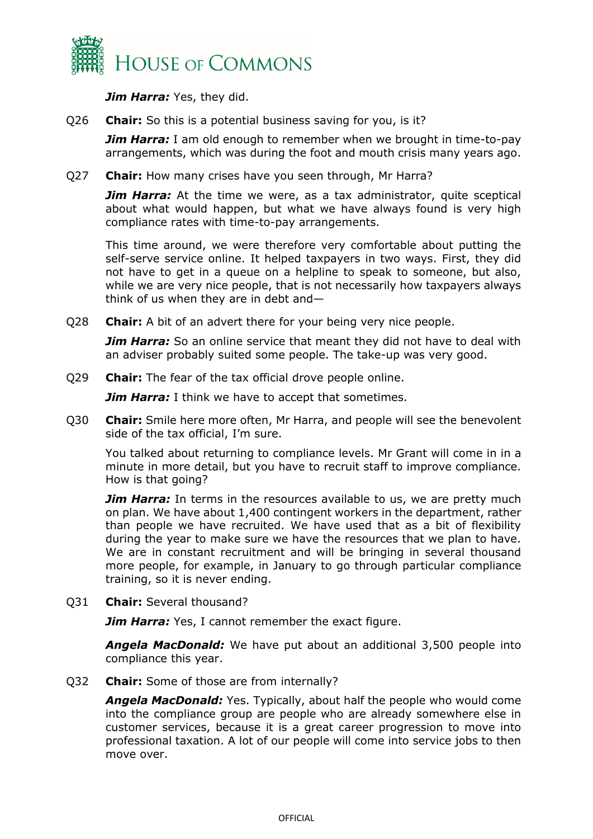

*Jim Harra:* Yes, they did.

Q26 **Chair:** So this is a potential business saving for you, is it?

*Jim Harra:* I am old enough to remember when we brought in time-to-pay arrangements, which was during the foot and mouth crisis many years ago.

Q27 **Chair:** How many crises have you seen through, Mr Harra?

**Jim Harra:** At the time we were, as a tax administrator, quite sceptical about what would happen, but what we have always found is very high compliance rates with time-to-pay arrangements.

This time around, we were therefore very comfortable about putting the self-serve service online. It helped taxpayers in two ways. First, they did not have to get in a queue on a helpline to speak to someone, but also, while we are very nice people, that is not necessarily how taxpayers always think of us when they are in debt and—

Q28 **Chair:** A bit of an advert there for your being very nice people.

**Jim Harra:** So an online service that meant they did not have to deal with an adviser probably suited some people. The take-up was very good.

Q29 **Chair:** The fear of the tax official drove people online.

*Jim Harra:* I think we have to accept that sometimes.

Q30 **Chair:** Smile here more often, Mr Harra, and people will see the benevolent side of the tax official, I'm sure.

You talked about returning to compliance levels. Mr Grant will come in in a minute in more detail, but you have to recruit staff to improve compliance. How is that going?

*Jim Harra:* In terms in the resources available to us, we are pretty much on plan. We have about 1,400 contingent workers in the department, rather than people we have recruited. We have used that as a bit of flexibility during the year to make sure we have the resources that we plan to have. We are in constant recruitment and will be bringing in several thousand more people, for example, in January to go through particular compliance training, so it is never ending.

Q31 **Chair:** Several thousand?

*Jim Harra:* Yes, I cannot remember the exact figure.

*Angela MacDonald:* We have put about an additional 3,500 people into compliance this year.

Q32 **Chair:** Some of those are from internally?

*Angela MacDonald:* Yes. Typically, about half the people who would come into the compliance group are people who are already somewhere else in customer services, because it is a great career progression to move into professional taxation. A lot of our people will come into service jobs to then move over.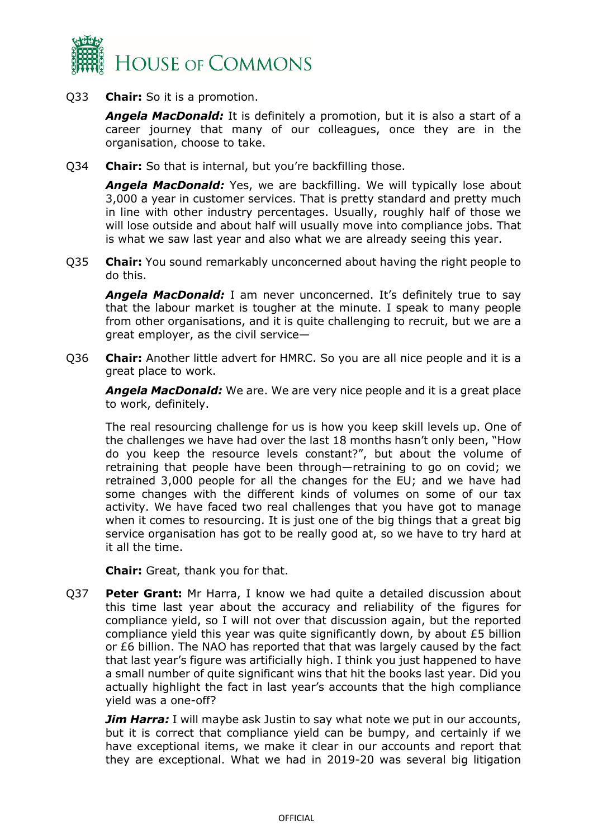

Q33 **Chair:** So it is a promotion.

*Angela MacDonald:* It is definitely a promotion, but it is also a start of a career journey that many of our colleagues, once they are in the organisation, choose to take.

Q34 **Chair:** So that is internal, but you're backfilling those.

*Angela MacDonald:* Yes, we are backfilling. We will typically lose about 3,000 a year in customer services. That is pretty standard and pretty much in line with other industry percentages. Usually, roughly half of those we will lose outside and about half will usually move into compliance jobs. That is what we saw last year and also what we are already seeing this year.

Q35 **Chair:** You sound remarkably unconcerned about having the right people to do this.

Angela MacDonald: I am never unconcerned. It's definitely true to say that the labour market is tougher at the minute. I speak to many people from other organisations, and it is quite challenging to recruit, but we are a great employer, as the civil service—

Q36 **Chair:** Another little advert for HMRC. So you are all nice people and it is a great place to work.

*Angela MacDonald:* We are. We are very nice people and it is a great place to work, definitely.

The real resourcing challenge for us is how you keep skill levels up. One of the challenges we have had over the last 18 months hasn't only been, "How do you keep the resource levels constant?", but about the volume of retraining that people have been through—retraining to go on covid; we retrained 3,000 people for all the changes for the EU; and we have had some changes with the different kinds of volumes on some of our tax activity. We have faced two real challenges that you have got to manage when it comes to resourcing. It is just one of the big things that a great big service organisation has got to be really good at, so we have to try hard at it all the time.

**Chair:** Great, thank you for that.

Q37 **Peter Grant:** Mr Harra, I know we had quite a detailed discussion about this time last year about the accuracy and reliability of the figures for compliance yield, so I will not over that discussion again, but the reported compliance yield this year was quite significantly down, by about £5 billion or £6 billion. The NAO has reported that that was largely caused by the fact that last year's figure was artificially high. I think you just happened to have a small number of quite significant wins that hit the books last year. Did you actually highlight the fact in last year's accounts that the high compliance yield was a one-off?

*Jim Harra:* I will maybe ask Justin to say what note we put in our accounts, but it is correct that compliance yield can be bumpy, and certainly if we have exceptional items, we make it clear in our accounts and report that they are exceptional. What we had in 2019-20 was several big litigation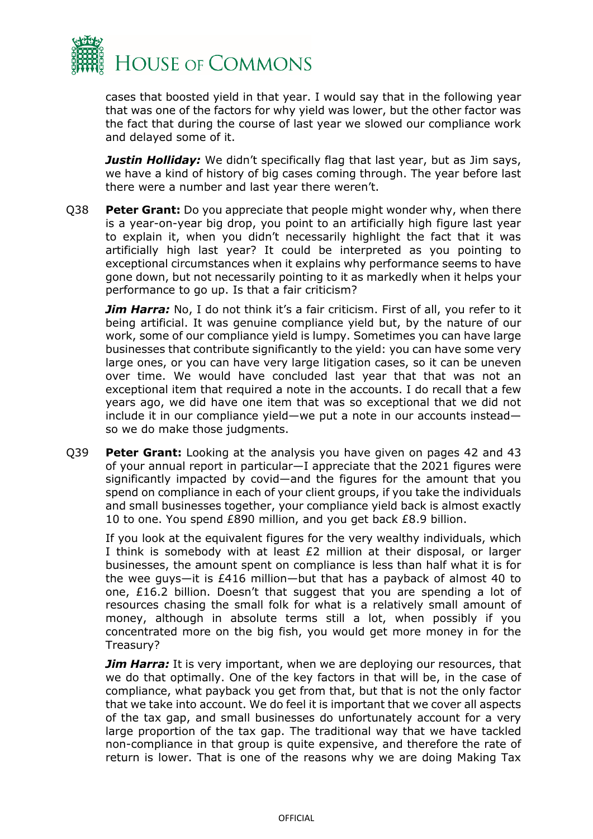

cases that boosted yield in that year. I would say that in the following year that was one of the factors for why yield was lower, but the other factor was the fact that during the course of last year we slowed our compliance work and delayed some of it.

*Justin Holliday:* We didn't specifically flag that last year, but as Jim says, we have a kind of history of big cases coming through. The year before last there were a number and last year there weren't.

Q38 **Peter Grant:** Do you appreciate that people might wonder why, when there is a year-on-year big drop, you point to an artificially high figure last year to explain it, when you didn't necessarily highlight the fact that it was artificially high last year? It could be interpreted as you pointing to exceptional circumstances when it explains why performance seems to have gone down, but not necessarily pointing to it as markedly when it helps your performance to go up. Is that a fair criticism?

**Jim Harra:** No, I do not think it's a fair criticism. First of all, you refer to it being artificial. It was genuine compliance yield but, by the nature of our work, some of our compliance yield is lumpy. Sometimes you can have large businesses that contribute significantly to the yield: you can have some very large ones, or you can have very large litigation cases, so it can be uneven over time. We would have concluded last year that that was not an exceptional item that required a note in the accounts. I do recall that a few years ago, we did have one item that was so exceptional that we did not include it in our compliance yield—we put a note in our accounts instead so we do make those judgments.

Q39 **Peter Grant:** Looking at the analysis you have given on pages 42 and 43 of your annual report in particular—I appreciate that the 2021 figures were significantly impacted by covid—and the figures for the amount that you spend on compliance in each of your client groups, if you take the individuals and small businesses together, your compliance yield back is almost exactly 10 to one. You spend £890 million, and you get back £8.9 billion.

If you look at the equivalent figures for the very wealthy individuals, which I think is somebody with at least £2 million at their disposal, or larger businesses, the amount spent on compliance is less than half what it is for the wee guys—it is £416 million—but that has a payback of almost 40 to one, £16.2 billion. Doesn't that suggest that you are spending a lot of resources chasing the small folk for what is a relatively small amount of money, although in absolute terms still a lot, when possibly if you concentrated more on the big fish, you would get more money in for the Treasury?

*Jim Harra:* It is very important, when we are deploying our resources, that we do that optimally. One of the key factors in that will be, in the case of compliance, what payback you get from that, but that is not the only factor that we take into account. We do feel it is important that we cover all aspects of the tax gap, and small businesses do unfortunately account for a very large proportion of the tax gap. The traditional way that we have tackled non-compliance in that group is quite expensive, and therefore the rate of return is lower. That is one of the reasons why we are doing Making Tax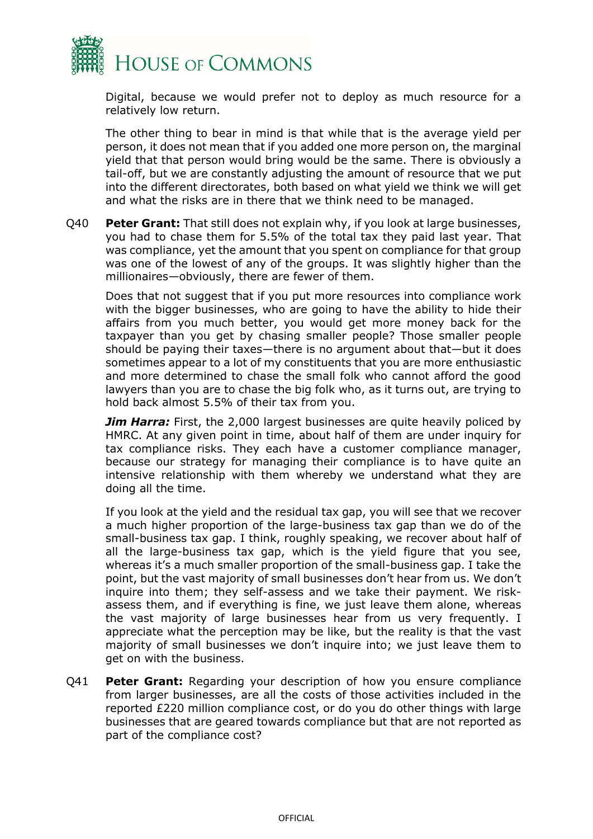

Digital, because we would prefer not to deploy as much resource for a relatively low return.

The other thing to bear in mind is that while that is the average yield per person, it does not mean that if you added one more person on, the marginal yield that that person would bring would be the same. There is obviously a tail-off, but we are constantly adjusting the amount of resource that we put into the different directorates, both based on what yield we think we will get and what the risks are in there that we think need to be managed.

Q40 **Peter Grant:** That still does not explain why, if you look at large businesses, you had to chase them for 5.5% of the total tax they paid last year. That was compliance, yet the amount that you spent on compliance for that group was one of the lowest of any of the groups. It was slightly higher than the millionaires—obviously, there are fewer of them.

Does that not suggest that if you put more resources into compliance work with the bigger businesses, who are going to have the ability to hide their affairs from you much better, you would get more money back for the taxpayer than you get by chasing smaller people? Those smaller people should be paying their taxes—there is no argument about that—but it does sometimes appear to a lot of my constituents that you are more enthusiastic and more determined to chase the small folk who cannot afford the good lawyers than you are to chase the big folk who, as it turns out, are trying to hold back almost 5.5% of their tax from you.

*Jim Harra:* First, the 2,000 largest businesses are quite heavily policed by HMRC. At any given point in time, about half of them are under inquiry for tax compliance risks. They each have a customer compliance manager, because our strategy for managing their compliance is to have quite an intensive relationship with them whereby we understand what they are doing all the time.

If you look at the yield and the residual tax gap, you will see that we recover a much higher proportion of the large-business tax gap than we do of the small-business tax gap. I think, roughly speaking, we recover about half of all the large-business tax gap, which is the yield figure that you see, whereas it's a much smaller proportion of the small-business gap. I take the point, but the vast majority of small businesses don't hear from us. We don't inquire into them; they self-assess and we take their payment. We riskassess them, and if everything is fine, we just leave them alone, whereas the vast majority of large businesses hear from us very frequently. I appreciate what the perception may be like, but the reality is that the vast majority of small businesses we don't inquire into; we just leave them to get on with the business.

Q41 **Peter Grant:** Regarding your description of how you ensure compliance from larger businesses, are all the costs of those activities included in the reported £220 million compliance cost, or do you do other things with large businesses that are geared towards compliance but that are not reported as part of the compliance cost?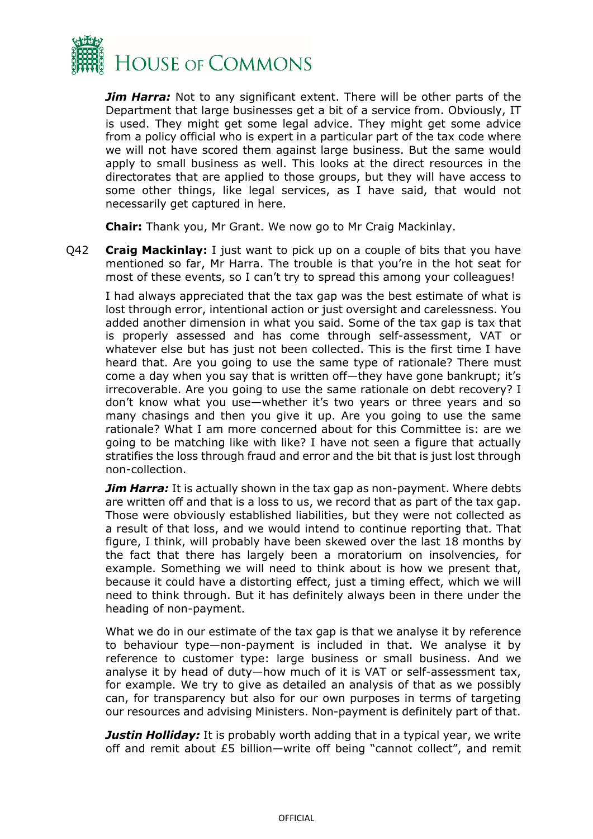

*Jim Harra:* Not to any significant extent. There will be other parts of the Department that large businesses get a bit of a service from. Obviously, IT is used. They might get some legal advice. They might get some advice from a policy official who is expert in a particular part of the tax code where we will not have scored them against large business. But the same would apply to small business as well. This looks at the direct resources in the directorates that are applied to those groups, but they will have access to some other things, like legal services, as I have said, that would not necessarily get captured in here.

**Chair:** Thank you, Mr Grant. We now go to Mr Craig Mackinlay.

Q42 **Craig Mackinlay:** I just want to pick up on a couple of bits that you have mentioned so far, Mr Harra. The trouble is that you're in the hot seat for most of these events, so I can't try to spread this among your colleagues!

I had always appreciated that the tax gap was the best estimate of what is lost through error, intentional action or just oversight and carelessness. You added another dimension in what you said. Some of the tax gap is tax that is properly assessed and has come through self-assessment, VAT or whatever else but has just not been collected. This is the first time I have heard that. Are you going to use the same type of rationale? There must come a day when you say that is written off—they have gone bankrupt; it's irrecoverable. Are you going to use the same rationale on debt recovery? I don't know what you use—whether it's two years or three years and so many chasings and then you give it up. Are you going to use the same rationale? What I am more concerned about for this Committee is: are we going to be matching like with like? I have not seen a figure that actually stratifies the loss through fraud and error and the bit that is just lost through non-collection.

*Jim Harra:* It is actually shown in the tax gap as non-payment. Where debts are written off and that is a loss to us, we record that as part of the tax gap. Those were obviously established liabilities, but they were not collected as a result of that loss, and we would intend to continue reporting that. That figure, I think, will probably have been skewed over the last 18 months by the fact that there has largely been a moratorium on insolvencies, for example. Something we will need to think about is how we present that, because it could have a distorting effect, just a timing effect, which we will need to think through. But it has definitely always been in there under the heading of non-payment.

What we do in our estimate of the tax gap is that we analyse it by reference to behaviour type—non-payment is included in that. We analyse it by reference to customer type: large business or small business. And we analyse it by head of duty—how much of it is VAT or self-assessment tax, for example. We try to give as detailed an analysis of that as we possibly can, for transparency but also for our own purposes in terms of targeting our resources and advising Ministers. Non-payment is definitely part of that.

*Justin Holliday:* It is probably worth adding that in a typical year, we write off and remit about £5 billion—write off being "cannot collect", and remit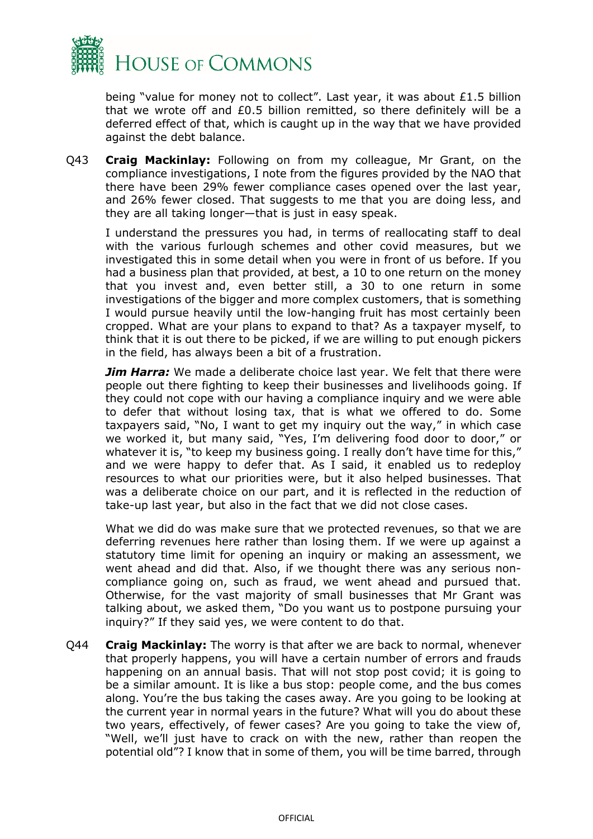

being "value for money not to collect". Last year, it was about £1.5 billion that we wrote off and £0.5 billion remitted, so there definitely will be a deferred effect of that, which is caught up in the way that we have provided against the debt balance.

Q43 **Craig Mackinlay:** Following on from my colleague, Mr Grant, on the compliance investigations, I note from the figures provided by the NAO that there have been 29% fewer compliance cases opened over the last year, and 26% fewer closed. That suggests to me that you are doing less, and they are all taking longer—that is just in easy speak.

I understand the pressures you had, in terms of reallocating staff to deal with the various furlough schemes and other covid measures, but we investigated this in some detail when you were in front of us before. If you had a business plan that provided, at best, a 10 to one return on the money that you invest and, even better still, a 30 to one return in some investigations of the bigger and more complex customers, that is something I would pursue heavily until the low-hanging fruit has most certainly been cropped. What are your plans to expand to that? As a taxpayer myself, to think that it is out there to be picked, if we are willing to put enough pickers in the field, has always been a bit of a frustration.

*Jim Harra:* We made a deliberate choice last year. We felt that there were people out there fighting to keep their businesses and livelihoods going. If they could not cope with our having a compliance inquiry and we were able to defer that without losing tax, that is what we offered to do. Some taxpayers said, "No, I want to get my inquiry out the way," in which case we worked it, but many said, "Yes, I'm delivering food door to door," or whatever it is, "to keep my business going. I really don't have time for this," and we were happy to defer that. As I said, it enabled us to redeploy resources to what our priorities were, but it also helped businesses. That was a deliberate choice on our part, and it is reflected in the reduction of take-up last year, but also in the fact that we did not close cases.

What we did do was make sure that we protected revenues, so that we are deferring revenues here rather than losing them. If we were up against a statutory time limit for opening an inquiry or making an assessment, we went ahead and did that. Also, if we thought there was any serious noncompliance going on, such as fraud, we went ahead and pursued that. Otherwise, for the vast majority of small businesses that Mr Grant was talking about, we asked them, "Do you want us to postpone pursuing your inquiry?" If they said yes, we were content to do that.

Q44 **Craig Mackinlay:** The worry is that after we are back to normal, whenever that properly happens, you will have a certain number of errors and frauds happening on an annual basis. That will not stop post covid; it is going to be a similar amount. It is like a bus stop: people come, and the bus comes along. You're the bus taking the cases away. Are you going to be looking at the current year in normal years in the future? What will you do about these two years, effectively, of fewer cases? Are you going to take the view of, "Well, we'll just have to crack on with the new, rather than reopen the potential old"? I know that in some of them, you will be time barred, through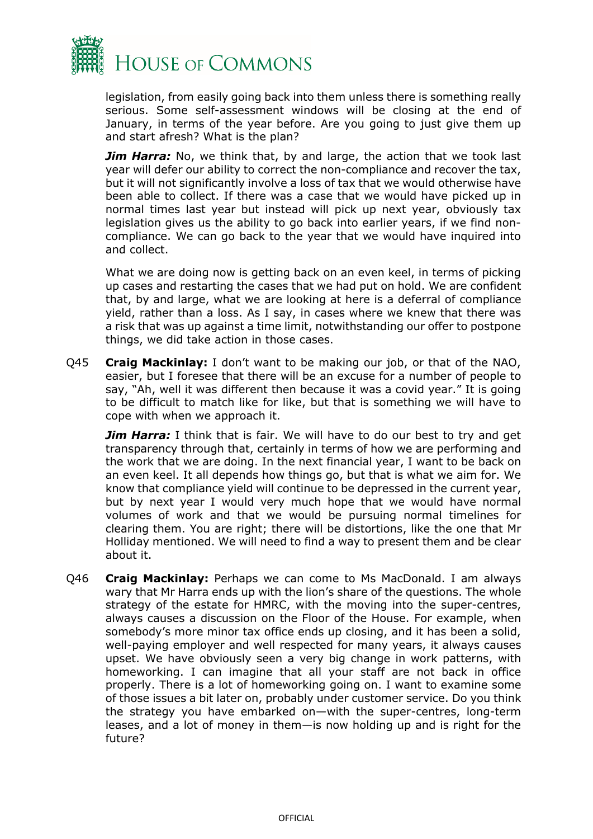

legislation, from easily going back into them unless there is something really serious. Some self-assessment windows will be closing at the end of January, in terms of the year before. Are you going to just give them up and start afresh? What is the plan?

*Jim Harra:* No, we think that, by and large, the action that we took last year will defer our ability to correct the non-compliance and recover the tax, but it will not significantly involve a loss of tax that we would otherwise have been able to collect. If there was a case that we would have picked up in normal times last year but instead will pick up next year, obviously tax legislation gives us the ability to go back into earlier years, if we find noncompliance. We can go back to the year that we would have inquired into and collect.

What we are doing now is getting back on an even keel, in terms of picking up cases and restarting the cases that we had put on hold. We are confident that, by and large, what we are looking at here is a deferral of compliance yield, rather than a loss. As I say, in cases where we knew that there was a risk that was up against a time limit, notwithstanding our offer to postpone things, we did take action in those cases.

Q45 **Craig Mackinlay:** I don't want to be making our job, or that of the NAO, easier, but I foresee that there will be an excuse for a number of people to say, "Ah, well it was different then because it was a covid year." It is going to be difficult to match like for like, but that is something we will have to cope with when we approach it.

*Jim Harra:* I think that is fair. We will have to do our best to try and get transparency through that, certainly in terms of how we are performing and the work that we are doing. In the next financial year, I want to be back on an even keel. It all depends how things go, but that is what we aim for. We know that compliance yield will continue to be depressed in the current year, but by next year I would very much hope that we would have normal volumes of work and that we would be pursuing normal timelines for clearing them. You are right; there will be distortions, like the one that Mr Holliday mentioned. We will need to find a way to present them and be clear about it.

Q46 **Craig Mackinlay:** Perhaps we can come to Ms MacDonald. I am always wary that Mr Harra ends up with the lion's share of the questions. The whole strategy of the estate for HMRC, with the moving into the super-centres, always causes a discussion on the Floor of the House. For example, when somebody's more minor tax office ends up closing, and it has been a solid, well-paying employer and well respected for many years, it always causes upset. We have obviously seen a very big change in work patterns, with homeworking. I can imagine that all your staff are not back in office properly. There is a lot of homeworking going on. I want to examine some of those issues a bit later on, probably under customer service. Do you think the strategy you have embarked on—with the super-centres, long-term leases, and a lot of money in them—is now holding up and is right for the future?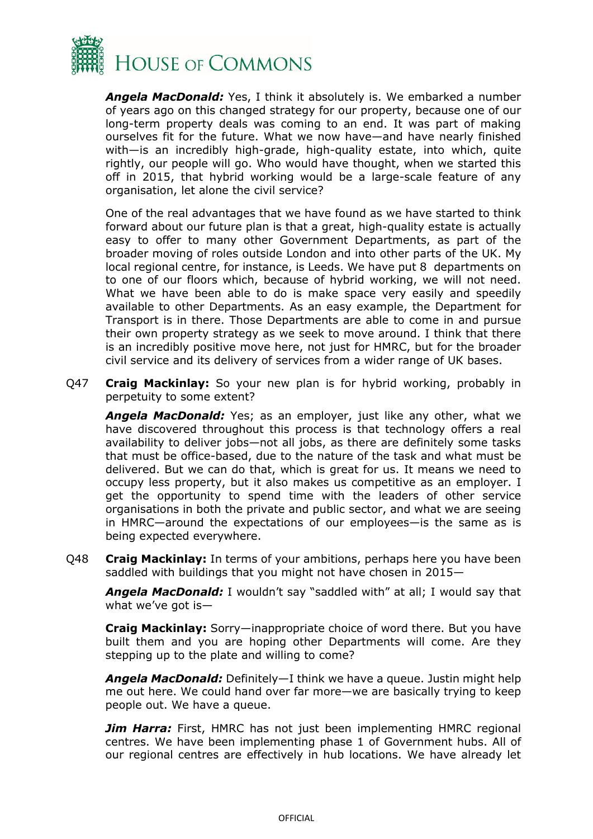

*Angela MacDonald:* Yes, I think it absolutely is. We embarked a number of years ago on this changed strategy for our property, because one of our long-term property deals was coming to an end. It was part of making ourselves fit for the future. What we now have—and have nearly finished with—is an incredibly high-grade, high-quality estate, into which, quite rightly, our people will go. Who would have thought, when we started this off in 2015, that hybrid working would be a large-scale feature of any organisation, let alone the civil service?

One of the real advantages that we have found as we have started to think forward about our future plan is that a great, high-quality estate is actually easy to offer to many other Government Departments, as part of the broader moving of roles outside London and into other parts of the UK. My local regional centre, for instance, is Leeds. We have put 8 departments on to one of our floors which, because of hybrid working, we will not need. What we have been able to do is make space very easily and speedily available to other Departments. As an easy example, the Department for Transport is in there. Those Departments are able to come in and pursue their own property strategy as we seek to move around. I think that there is an incredibly positive move here, not just for HMRC, but for the broader civil service and its delivery of services from a wider range of UK bases.

Q47 **Craig Mackinlay:** So your new plan is for hybrid working, probably in perpetuity to some extent?

*Angela MacDonald:* Yes; as an employer, just like any other, what we have discovered throughout this process is that technology offers a real availability to deliver jobs—not all jobs, as there are definitely some tasks that must be office-based, due to the nature of the task and what must be delivered. But we can do that, which is great for us. It means we need to occupy less property, but it also makes us competitive as an employer. I get the opportunity to spend time with the leaders of other service organisations in both the private and public sector, and what we are seeing in HMRC—around the expectations of our employees—is the same as is being expected everywhere.

Q48 **Craig Mackinlay:** In terms of your ambitions, perhaps here you have been saddled with buildings that you might not have chosen in 2015—

*Angela MacDonald:* I wouldn't say "saddled with" at all; I would say that what we've got is—

**Craig Mackinlay:** Sorry—inappropriate choice of word there. But you have built them and you are hoping other Departments will come. Are they stepping up to the plate and willing to come?

*Angela MacDonald:* Definitely—I think we have a queue. Justin might help me out here. We could hand over far more—we are basically trying to keep people out. We have a queue.

**Jim Harra:** First, HMRC has not just been implementing HMRC regional centres. We have been implementing phase 1 of Government hubs. All of our regional centres are effectively in hub locations. We have already let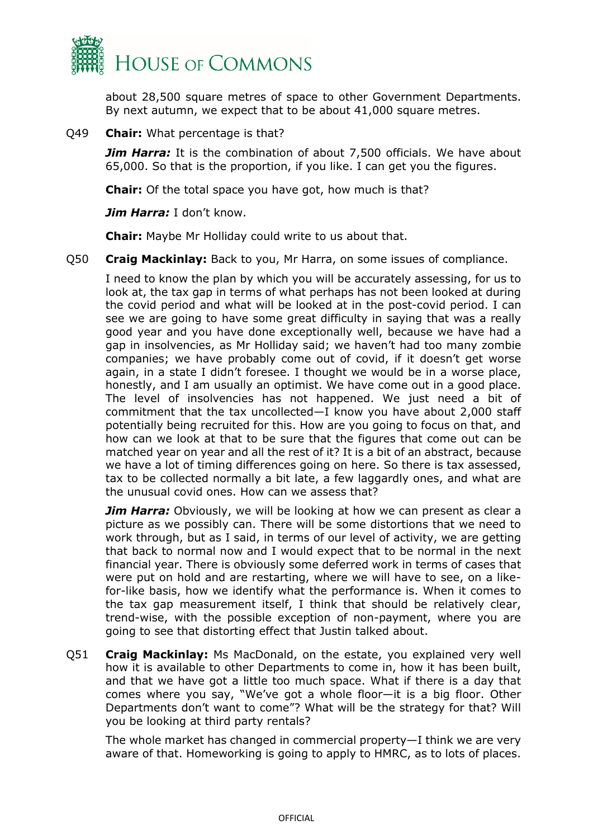

about 28,500 square metres of space to other Government Departments. By next autumn, we expect that to be about 41,000 square metres.

#### Q49 **Chair:** What percentage is that?

*Jim Harra:* It is the combination of about 7,500 officials. We have about 65,000. So that is the proportion, if you like. I can get you the figures.

**Chair:** Of the total space you have got, how much is that?

*Jim Harra:* I don't know.

**Chair:** Maybe Mr Holliday could write to us about that.

Q50 **Craig Mackinlay:** Back to you, Mr Harra, on some issues of compliance.

I need to know the plan by which you will be accurately assessing, for us to look at, the tax gap in terms of what perhaps has not been looked at during the covid period and what will be looked at in the post-covid period. I can see we are going to have some great difficulty in saying that was a really good year and you have done exceptionally well, because we have had a gap in insolvencies, as Mr Holliday said; we haven't had too many zombie companies; we have probably come out of covid, if it doesn't get worse again, in a state I didn't foresee. I thought we would be in a worse place, honestly, and I am usually an optimist. We have come out in a good place. The level of insolvencies has not happened. We just need a bit of commitment that the tax uncollected—I know you have about 2,000 staff potentially being recruited for this. How are you going to focus on that, and how can we look at that to be sure that the figures that come out can be matched year on year and all the rest of it? It is a bit of an abstract, because we have a lot of timing differences going on here. So there is tax assessed, tax to be collected normally a bit late, a few laggardly ones, and what are the unusual covid ones. How can we assess that?

*Jim Harra:* Obviously, we will be looking at how we can present as clear a picture as we possibly can. There will be some distortions that we need to work through, but as I said, in terms of our level of activity, we are getting that back to normal now and I would expect that to be normal in the next financial year. There is obviously some deferred work in terms of cases that were put on hold and are restarting, where we will have to see, on a likefor-like basis, how we identify what the performance is. When it comes to the tax gap measurement itself, I think that should be relatively clear, trend-wise, with the possible exception of non-payment, where you are going to see that distorting effect that Justin talked about.

Q51 **Craig Mackinlay:** Ms MacDonald, on the estate, you explained very well how it is available to other Departments to come in, how it has been built, and that we have got a little too much space. What if there is a day that comes where you say, "We've got a whole floor—it is a big floor. Other Departments don't want to come"? What will be the strategy for that? Will you be looking at third party rentals?

The whole market has changed in commercial property—I think we are very aware of that. Homeworking is going to apply to HMRC, as to lots of places.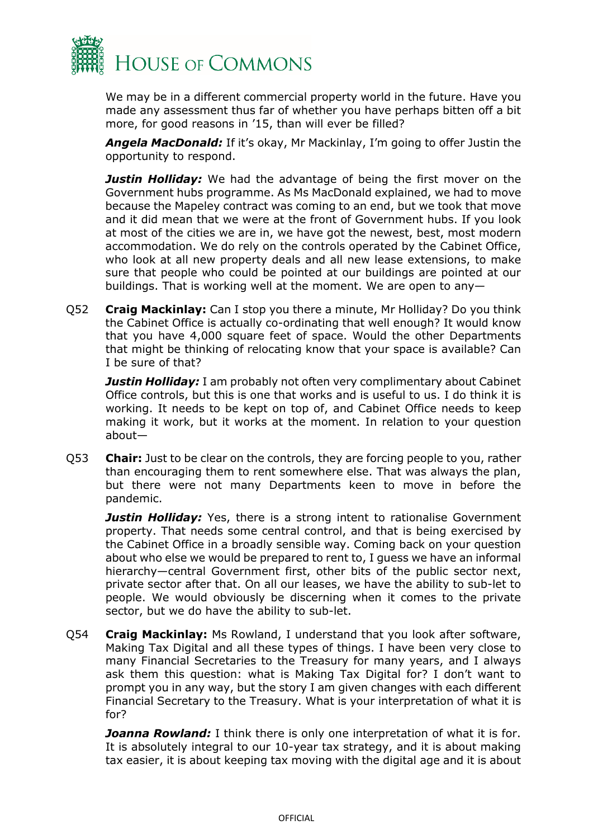

We may be in a different commercial property world in the future. Have you made any assessment thus far of whether you have perhaps bitten off a bit more, for good reasons in '15, than will ever be filled?

*Angela MacDonald:* If it's okay, Mr Mackinlay, I'm going to offer Justin the opportunity to respond.

*Justin Holliday:* We had the advantage of being the first mover on the Government hubs programme. As Ms MacDonald explained, we had to move because the Mapeley contract was coming to an end, but we took that move and it did mean that we were at the front of Government hubs. If you look at most of the cities we are in, we have got the newest, best, most modern accommodation. We do rely on the controls operated by the Cabinet Office, who look at all new property deals and all new lease extensions, to make sure that people who could be pointed at our buildings are pointed at our buildings. That is working well at the moment. We are open to any—

Q52 **Craig Mackinlay:** Can I stop you there a minute, Mr Holliday? Do you think the Cabinet Office is actually co-ordinating that well enough? It would know that you have 4,000 square feet of space. Would the other Departments that might be thinking of relocating know that your space is available? Can I be sure of that?

**Justin Holliday:** I am probably not often very complimentary about Cabinet Office controls, but this is one that works and is useful to us. I do think it is working. It needs to be kept on top of, and Cabinet Office needs to keep making it work, but it works at the moment. In relation to your question about—

Q53 **Chair:** Just to be clear on the controls, they are forcing people to you, rather than encouraging them to rent somewhere else. That was always the plan, but there were not many Departments keen to move in before the pandemic.

**Justin Holliday:** Yes, there is a strong intent to rationalise Government property. That needs some central control, and that is being exercised by the Cabinet Office in a broadly sensible way. Coming back on your question about who else we would be prepared to rent to, I guess we have an informal hierarchy—central Government first, other bits of the public sector next, private sector after that. On all our leases, we have the ability to sub-let to people. We would obviously be discerning when it comes to the private sector, but we do have the ability to sub-let.

Q54 **Craig Mackinlay:** Ms Rowland, I understand that you look after software, Making Tax Digital and all these types of things. I have been very close to many Financial Secretaries to the Treasury for many years, and I always ask them this question: what is Making Tax Digital for? I don't want to prompt you in any way, but the story I am given changes with each different Financial Secretary to the Treasury. What is your interpretation of what it is for?

**Joanna Rowland:** I think there is only one interpretation of what it is for. It is absolutely integral to our 10-year tax strategy, and it is about making tax easier, it is about keeping tax moving with the digital age and it is about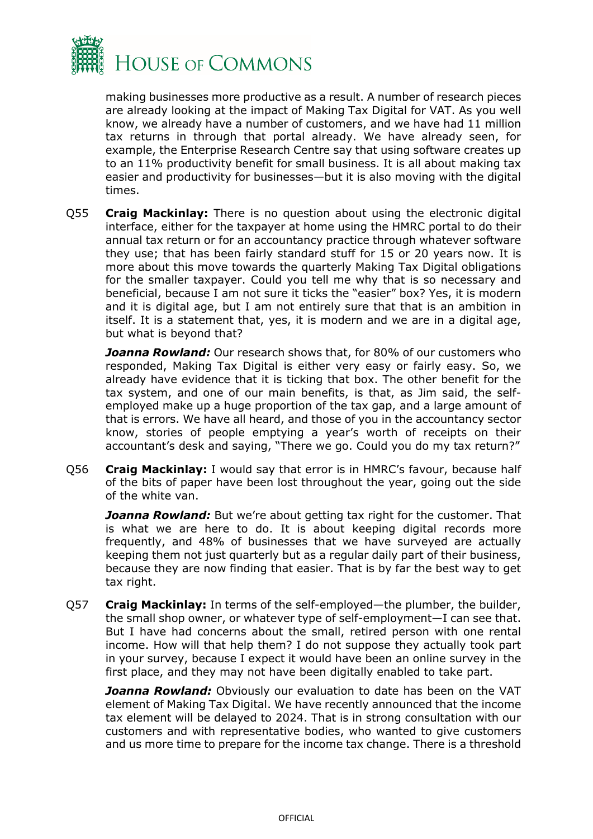

making businesses more productive as a result. A number of research pieces are already looking at the impact of Making Tax Digital for VAT. As you well know, we already have a number of customers, and we have had 11 million tax returns in through that portal already. We have already seen, for example, the Enterprise Research Centre say that using software creates up to an 11% productivity benefit for small business. It is all about making tax easier and productivity for businesses—but it is also moving with the digital times.

Q55 **Craig Mackinlay:** There is no question about using the electronic digital interface, either for the taxpayer at home using the HMRC portal to do their annual tax return or for an accountancy practice through whatever software they use; that has been fairly standard stuff for 15 or 20 years now. It is more about this move towards the quarterly Making Tax Digital obligations for the smaller taxpayer. Could you tell me why that is so necessary and beneficial, because I am not sure it ticks the "easier" box? Yes, it is modern and it is digital age, but I am not entirely sure that that is an ambition in itself. It is a statement that, yes, it is modern and we are in a digital age, but what is beyond that?

*Joanna Rowland:* Our research shows that, for 80% of our customers who responded, Making Tax Digital is either very easy or fairly easy. So, we already have evidence that it is ticking that box. The other benefit for the tax system, and one of our main benefits, is that, as Jim said, the selfemployed make up a huge proportion of the tax gap, and a large amount of that is errors. We have all heard, and those of you in the accountancy sector know, stories of people emptying a year's worth of receipts on their accountant's desk and saying, "There we go. Could you do my tax return?"

Q56 **Craig Mackinlay:** I would say that error is in HMRC's favour, because half of the bits of paper have been lost throughout the year, going out the side of the white van.

*Joanna Rowland:* But we're about getting tax right for the customer. That is what we are here to do. It is about keeping digital records more frequently, and 48% of businesses that we have surveyed are actually keeping them not just quarterly but as a regular daily part of their business, because they are now finding that easier. That is by far the best way to get tax right.

Q57 **Craig Mackinlay:** In terms of the self-employed—the plumber, the builder, the small shop owner, or whatever type of self-employment—I can see that. But I have had concerns about the small, retired person with one rental income. How will that help them? I do not suppose they actually took part in your survey, because I expect it would have been an online survey in the first place, and they may not have been digitally enabled to take part.

*Joanna Rowland:* Obviously our evaluation to date has been on the VAT element of Making Tax Digital. We have recently announced that the income tax element will be delayed to 2024. That is in strong consultation with our customers and with representative bodies, who wanted to give customers and us more time to prepare for the income tax change. There is a threshold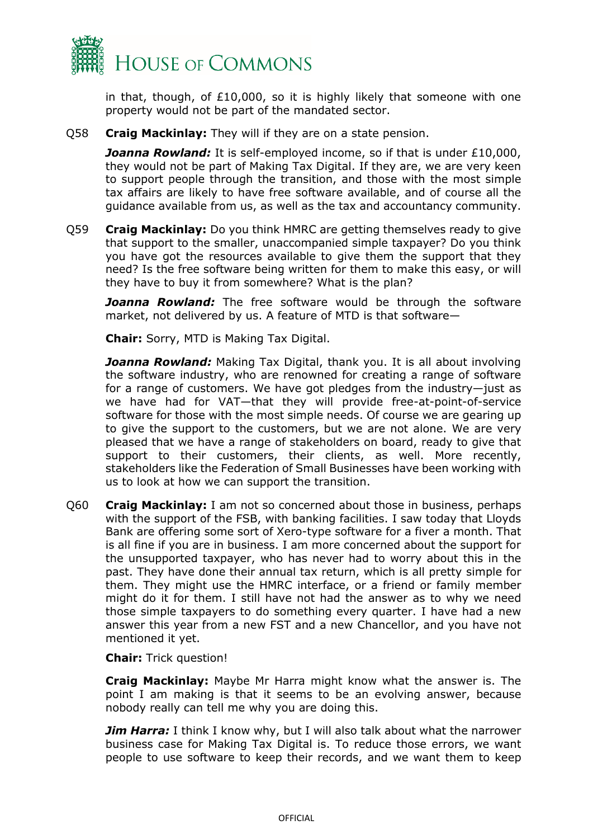

in that, though, of  $E10,000$ , so it is highly likely that someone with one property would not be part of the mandated sector.

Q58 **Craig Mackinlay:** They will if they are on a state pension.

*Joanna Rowland:* It is self-employed income, so if that is under £10,000, they would not be part of Making Tax Digital. If they are, we are very keen to support people through the transition, and those with the most simple tax affairs are likely to have free software available, and of course all the guidance available from us, as well as the tax and accountancy community.

Q59 **Craig Mackinlay:** Do you think HMRC are getting themselves ready to give that support to the smaller, unaccompanied simple taxpayer? Do you think you have got the resources available to give them the support that they need? Is the free software being written for them to make this easy, or will they have to buy it from somewhere? What is the plan?

**Joanna Rowland:** The free software would be through the software market, not delivered by us. A feature of MTD is that software—

**Chair:** Sorry, MTD is Making Tax Digital.

*Joanna Rowland:* Making Tax Digital, thank you. It is all about involving the software industry, who are renowned for creating a range of software for a range of customers. We have got pledges from the industry—just as we have had for VAT—that they will provide free-at-point-of-service software for those with the most simple needs. Of course we are gearing up to give the support to the customers, but we are not alone. We are very pleased that we have a range of stakeholders on board, ready to give that support to their customers, their clients, as well. More recently, stakeholders like the Federation of Small Businesses have been working with us to look at how we can support the transition.

Q60 **Craig Mackinlay:** I am not so concerned about those in business, perhaps with the support of the FSB, with banking facilities. I saw today that Lloyds Bank are offering some sort of Xero-type software for a fiver a month. That is all fine if you are in business. I am more concerned about the support for the unsupported taxpayer, who has never had to worry about this in the past. They have done their annual tax return, which is all pretty simple for them. They might use the HMRC interface, or a friend or family member might do it for them. I still have not had the answer as to why we need those simple taxpayers to do something every quarter. I have had a new answer this year from a new FST and a new Chancellor, and you have not mentioned it yet.

**Chair:** Trick question!

**Craig Mackinlay:** Maybe Mr Harra might know what the answer is. The point I am making is that it seems to be an evolving answer, because nobody really can tell me why you are doing this.

*Jim Harra:* I think I know why, but I will also talk about what the narrower business case for Making Tax Digital is. To reduce those errors, we want people to use software to keep their records, and we want them to keep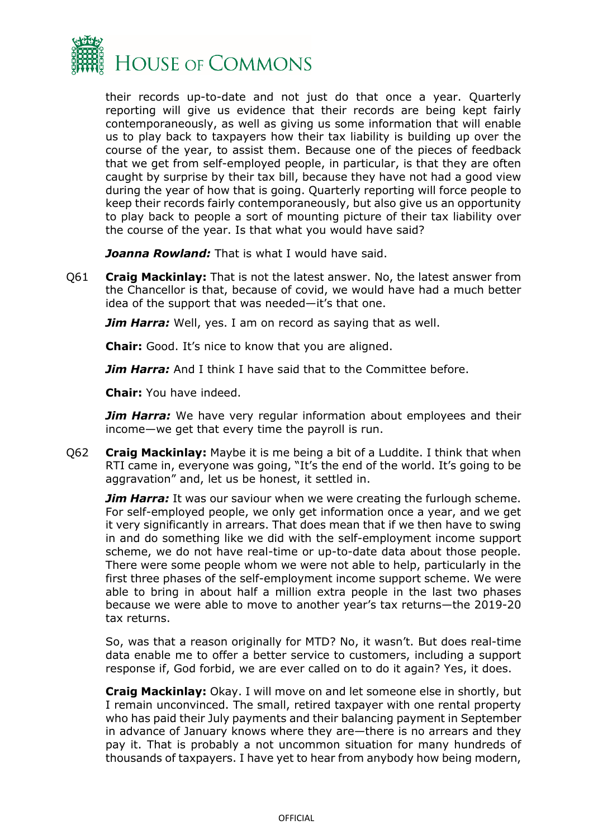

their records up-to-date and not just do that once a year. Quarterly reporting will give us evidence that their records are being kept fairly contemporaneously, as well as giving us some information that will enable us to play back to taxpayers how their tax liability is building up over the course of the year, to assist them. Because one of the pieces of feedback that we get from self-employed people, in particular, is that they are often caught by surprise by their tax bill, because they have not had a good view during the year of how that is going. Quarterly reporting will force people to keep their records fairly contemporaneously, but also give us an opportunity to play back to people a sort of mounting picture of their tax liability over the course of the year. Is that what you would have said?

*Joanna Rowland:* That is what I would have said.

Q61 **Craig Mackinlay:** That is not the latest answer. No, the latest answer from the Chancellor is that, because of covid, we would have had a much better idea of the support that was needed—it's that one.

*Jim Harra:* Well, yes. I am on record as saying that as well.

**Chair:** Good. It's nice to know that you are aligned.

*Jim Harra:* And I think I have said that to the Committee before.

**Chair:** You have indeed.

*Jim Harra:* We have very regular information about employees and their income—we get that every time the payroll is run.

Q62 **Craig Mackinlay:** Maybe it is me being a bit of a Luddite. I think that when RTI came in, everyone was going, "It's the end of the world. It's going to be aggravation" and, let us be honest, it settled in.

*Jim Harra:* It was our saviour when we were creating the furlough scheme. For self-employed people, we only get information once a year, and we get it very significantly in arrears. That does mean that if we then have to swing in and do something like we did with the self-employment income support scheme, we do not have real-time or up-to-date data about those people. There were some people whom we were not able to help, particularly in the first three phases of the self-employment income support scheme. We were able to bring in about half a million extra people in the last two phases because we were able to move to another year's tax returns—the 2019-20 tax returns.

So, was that a reason originally for MTD? No, it wasn't. But does real-time data enable me to offer a better service to customers, including a support response if, God forbid, we are ever called on to do it again? Yes, it does.

**Craig Mackinlay:** Okay. I will move on and let someone else in shortly, but I remain unconvinced. The small, retired taxpayer with one rental property who has paid their July payments and their balancing payment in September in advance of January knows where they are—there is no arrears and they pay it. That is probably a not uncommon situation for many hundreds of thousands of taxpayers. I have yet to hear from anybody how being modern,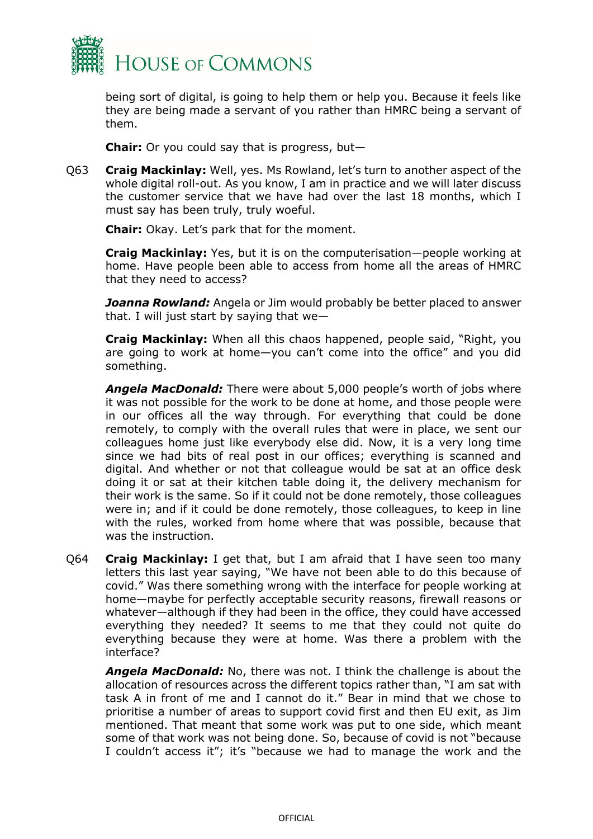

being sort of digital, is going to help them or help you. Because it feels like they are being made a servant of you rather than HMRC being a servant of them.

**Chair:** Or you could say that is progress, but—

Q63 **Craig Mackinlay:** Well, yes. Ms Rowland, let's turn to another aspect of the whole digital roll-out. As you know, I am in practice and we will later discuss the customer service that we have had over the last 18 months, which I must say has been truly, truly woeful.

**Chair:** Okay. Let's park that for the moment.

**Craig Mackinlay:** Yes, but it is on the computerisation—people working at home. Have people been able to access from home all the areas of HMRC that they need to access?

*Joanna Rowland:* Angela or Jim would probably be better placed to answer that. I will just start by saying that we—

**Craig Mackinlay:** When all this chaos happened, people said, "Right, you are going to work at home—you can't come into the office" and you did something.

*Angela MacDonald:* There were about 5,000 people's worth of jobs where it was not possible for the work to be done at home, and those people were in our offices all the way through. For everything that could be done remotely, to comply with the overall rules that were in place, we sent our colleagues home just like everybody else did. Now, it is a very long time since we had bits of real post in our offices; everything is scanned and digital. And whether or not that colleague would be sat at an office desk doing it or sat at their kitchen table doing it, the delivery mechanism for their work is the same. So if it could not be done remotely, those colleagues were in; and if it could be done remotely, those colleagues, to keep in line with the rules, worked from home where that was possible, because that was the instruction.

Q64 **Craig Mackinlay:** I get that, but I am afraid that I have seen too many letters this last year saying, "We have not been able to do this because of covid." Was there something wrong with the interface for people working at home—maybe for perfectly acceptable security reasons, firewall reasons or whatever—although if they had been in the office, they could have accessed everything they needed? It seems to me that they could not quite do everything because they were at home. Was there a problem with the interface?

*Angela MacDonald:* No, there was not. I think the challenge is about the allocation of resources across the different topics rather than, "I am sat with task A in front of me and I cannot do it." Bear in mind that we chose to prioritise a number of areas to support covid first and then EU exit, as Jim mentioned. That meant that some work was put to one side, which meant some of that work was not being done. So, because of covid is not "because I couldn't access it"; it's "because we had to manage the work and the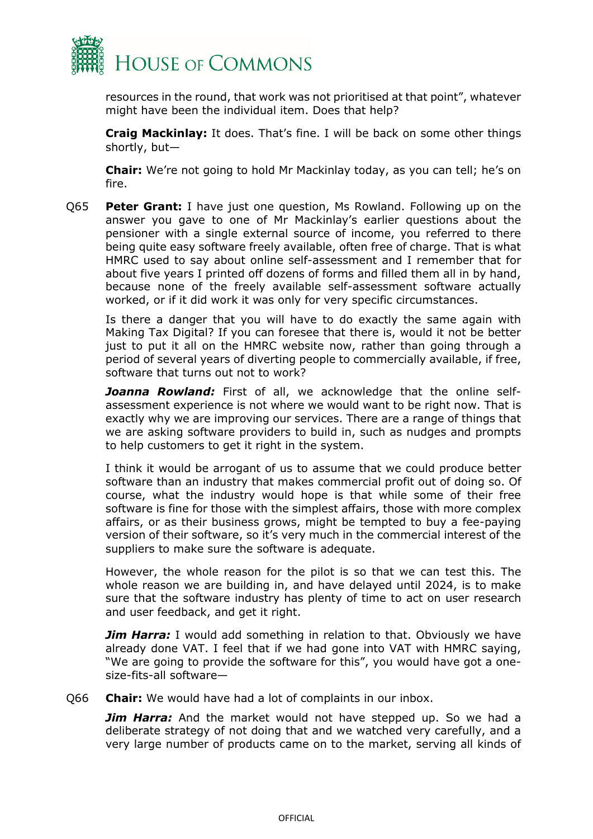

resources in the round, that work was not prioritised at that point", whatever might have been the individual item. Does that help?

**Craig Mackinlay:** It does. That's fine. I will be back on some other things shortly, but—

**Chair:** We're not going to hold Mr Mackinlay today, as you can tell; he's on fire.

Q65 **Peter Grant:** I have just one question, Ms Rowland. Following up on the answer you gave to one of Mr Mackinlay's earlier questions about the pensioner with a single external source of income, you referred to there being quite easy software freely available, often free of charge. That is what HMRC used to say about online self-assessment and I remember that for about five years I printed off dozens of forms and filled them all in by hand, because none of the freely available self-assessment software actually worked, or if it did work it was only for very specific circumstances.

Is there a danger that you will have to do exactly the same again with Making Tax Digital? If you can foresee that there is, would it not be better just to put it all on the HMRC website now, rather than going through a period of several years of diverting people to commercially available, if free, software that turns out not to work?

Joanna Rowland: First of all, we acknowledge that the online selfassessment experience is not where we would want to be right now. That is exactly why we are improving our services. There are a range of things that we are asking software providers to build in, such as nudges and prompts to help customers to get it right in the system.

I think it would be arrogant of us to assume that we could produce better software than an industry that makes commercial profit out of doing so. Of course, what the industry would hope is that while some of their free software is fine for those with the simplest affairs, those with more complex affairs, or as their business grows, might be tempted to buy a fee-paying version of their software, so it's very much in the commercial interest of the suppliers to make sure the software is adequate.

However, the whole reason for the pilot is so that we can test this. The whole reason we are building in, and have delayed until 2024, is to make sure that the software industry has plenty of time to act on user research and user feedback, and get it right.

*Jim Harra:* I would add something in relation to that. Obviously we have already done VAT. I feel that if we had gone into VAT with HMRC saying, "We are going to provide the software for this", you would have got a onesize-fits-all software—

Q66 **Chair:** We would have had a lot of complaints in our inbox.

*Jim Harra:* And the market would not have stepped up. So we had a deliberate strategy of not doing that and we watched very carefully, and a very large number of products came on to the market, serving all kinds of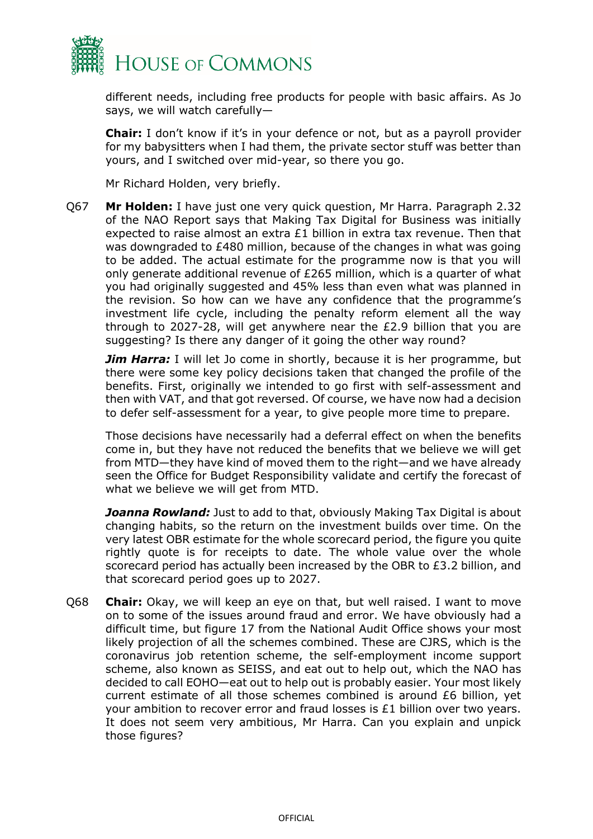

different needs, including free products for people with basic affairs. As Jo says, we will watch carefully—

**Chair:** I don't know if it's in your defence or not, but as a payroll provider for my babysitters when I had them, the private sector stuff was better than yours, and I switched over mid-year, so there you go.

Mr Richard Holden, very briefly.

Q67 **Mr Holden:** I have just one very quick question, Mr Harra. Paragraph 2.32 of the NAO Report says that Making Tax Digital for Business was initially expected to raise almost an extra £1 billion in extra tax revenue. Then that was downgraded to £480 million, because of the changes in what was going to be added. The actual estimate for the programme now is that you will only generate additional revenue of £265 million, which is a quarter of what you had originally suggested and 45% less than even what was planned in the revision. So how can we have any confidence that the programme's investment life cycle, including the penalty reform element all the way through to 2027-28, will get anywhere near the £2.9 billion that you are suggesting? Is there any danger of it going the other way round?

**Jim Harra:** I will let Jo come in shortly, because it is her programme, but there were some key policy decisions taken that changed the profile of the benefits. First, originally we intended to go first with self-assessment and then with VAT, and that got reversed. Of course, we have now had a decision to defer self-assessment for a year, to give people more time to prepare.

Those decisions have necessarily had a deferral effect on when the benefits come in, but they have not reduced the benefits that we believe we will get from MTD—they have kind of moved them to the right—and we have already seen the Office for Budget Responsibility validate and certify the forecast of what we believe we will get from MTD.

**Joanna Rowland:** Just to add to that, obviously Making Tax Digital is about changing habits, so the return on the investment builds over time. On the very latest OBR estimate for the whole scorecard period, the figure you quite rightly quote is for receipts to date. The whole value over the whole scorecard period has actually been increased by the OBR to £3.2 billion, and that scorecard period goes up to 2027.

Q68 **Chair:** Okay, we will keep an eye on that, but well raised. I want to move on to some of the issues around fraud and error. We have obviously had a difficult time, but figure 17 from the National Audit Office shows your most likely projection of all the schemes combined. These are CJRS, which is the coronavirus job retention scheme, the self-employment income support scheme, also known as SEISS, and eat out to help out, which the NAO has decided to call EOHO—eat out to help out is probably easier. Your most likely current estimate of all those schemes combined is around £6 billion, yet your ambition to recover error and fraud losses is £1 billion over two years. It does not seem very ambitious, Mr Harra. Can you explain and unpick those figures?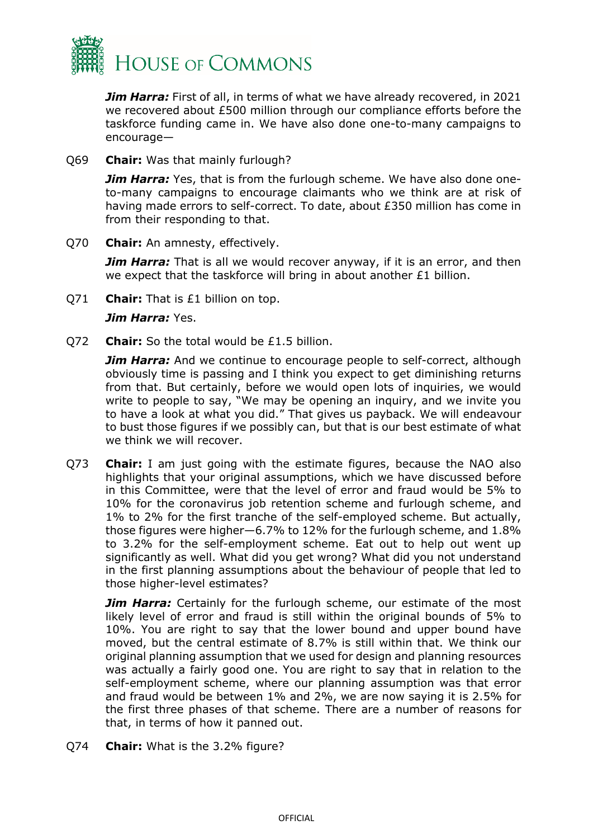

*Jim Harra:* First of all, in terms of what we have already recovered, in 2021 we recovered about £500 million through our compliance efforts before the taskforce funding came in. We have also done one-to-many campaigns to encourage—

Q69 **Chair:** Was that mainly furlough?

*Jim Harra:* Yes, that is from the furlough scheme. We have also done oneto-many campaigns to encourage claimants who we think are at risk of having made errors to self-correct. To date, about £350 million has come in from their responding to that.

Q70 **Chair:** An amnesty, effectively.

**Jim Harra:** That is all we would recover anyway, if it is an error, and then we expect that the taskforce will bring in about another £1 billion.

Q71 **Chair:** That is £1 billion on top.

#### *Jim Harra:* Yes.

Q72 **Chair:** So the total would be £1.5 billion.

*Jim Harra:* And we continue to encourage people to self-correct, although obviously time is passing and I think you expect to get diminishing returns from that. But certainly, before we would open lots of inquiries, we would write to people to say, "We may be opening an inquiry, and we invite you to have a look at what you did." That gives us payback. We will endeavour to bust those figures if we possibly can, but that is our best estimate of what we think we will recover.

Q73 **Chair:** I am just going with the estimate figures, because the NAO also highlights that your original assumptions, which we have discussed before in this Committee, were that the level of error and fraud would be 5% to 10% for the coronavirus job retention scheme and furlough scheme, and 1% to 2% for the first tranche of the self-employed scheme. But actually, those figures were higher—6.7% to 12% for the furlough scheme, and 1.8% to 3.2% for the self-employment scheme. Eat out to help out went up significantly as well. What did you get wrong? What did you not understand in the first planning assumptions about the behaviour of people that led to those higher-level estimates?

**Jim Harra:** Certainly for the furlough scheme, our estimate of the most likely level of error and fraud is still within the original bounds of 5% to 10%. You are right to say that the lower bound and upper bound have moved, but the central estimate of 8.7% is still within that. We think our original planning assumption that we used for design and planning resources was actually a fairly good one. You are right to say that in relation to the self-employment scheme, where our planning assumption was that error and fraud would be between 1% and 2%, we are now saying it is 2.5% for the first three phases of that scheme. There are a number of reasons for that, in terms of how it panned out.

Q74 **Chair:** What is the 3.2% figure?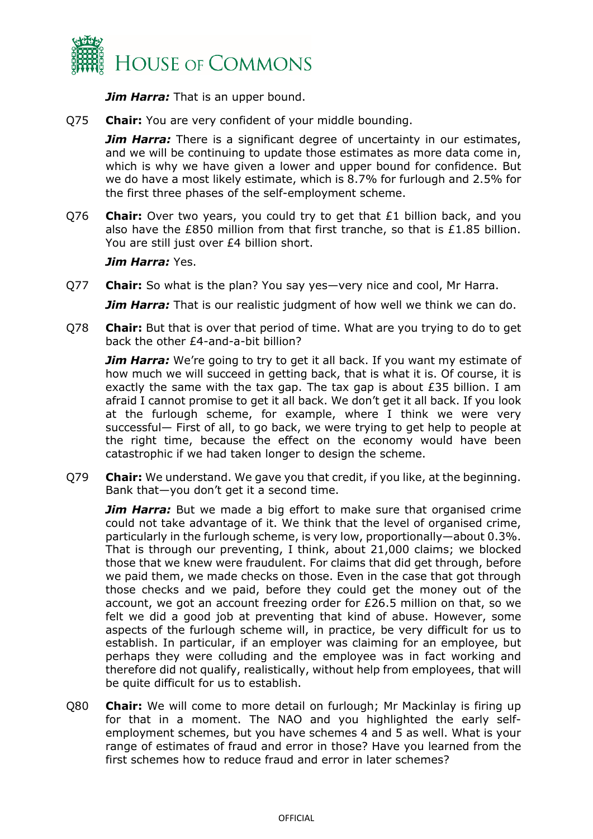

*Jim Harra:* That is an upper bound.

Q75 **Chair:** You are very confident of your middle bounding.

*Jim Harra:* There is a significant degree of uncertainty in our estimates, and we will be continuing to update those estimates as more data come in, which is why we have given a lower and upper bound for confidence. But we do have a most likely estimate, which is 8.7% for furlough and 2.5% for the first three phases of the self-employment scheme.

Q76 **Chair:** Over two years, you could try to get that £1 billion back, and you also have the £850 million from that first tranche, so that is £1.85 billion. You are still just over £4 billion short.

#### *Jim Harra:* Yes.

Q77 **Chair:** So what is the plan? You say yes—very nice and cool, Mr Harra.

*Jim Harra:* That is our realistic judgment of how well we think we can do.

Q78 **Chair:** But that is over that period of time. What are you trying to do to get back the other £4-and-a-bit billion?

*Jim Harra:* We're going to try to get it all back. If you want my estimate of how much we will succeed in getting back, that is what it is. Of course, it is exactly the same with the tax gap. The tax gap is about £35 billion. I am afraid I cannot promise to get it all back. We don't get it all back. If you look at the furlough scheme, for example, where I think we were very successful— First of all, to go back, we were trying to get help to people at the right time, because the effect on the economy would have been catastrophic if we had taken longer to design the scheme.

Q79 **Chair:** We understand. We gave you that credit, if you like, at the beginning. Bank that—you don't get it a second time.

*Jim Harra:* But we made a big effort to make sure that organised crime could not take advantage of it. We think that the level of organised crime, particularly in the furlough scheme, is very low, proportionally—about 0.3%. That is through our preventing, I think, about 21,000 claims; we blocked those that we knew were fraudulent. For claims that did get through, before we paid them, we made checks on those. Even in the case that got through those checks and we paid, before they could get the money out of the account, we got an account freezing order for £26.5 million on that, so we felt we did a good job at preventing that kind of abuse. However, some aspects of the furlough scheme will, in practice, be very difficult for us to establish. In particular, if an employer was claiming for an employee, but perhaps they were colluding and the employee was in fact working and therefore did not qualify, realistically, without help from employees, that will be quite difficult for us to establish.

Q80 **Chair:** We will come to more detail on furlough; Mr Mackinlay is firing up for that in a moment. The NAO and you highlighted the early selfemployment schemes, but you have schemes 4 and 5 as well. What is your range of estimates of fraud and error in those? Have you learned from the first schemes how to reduce fraud and error in later schemes?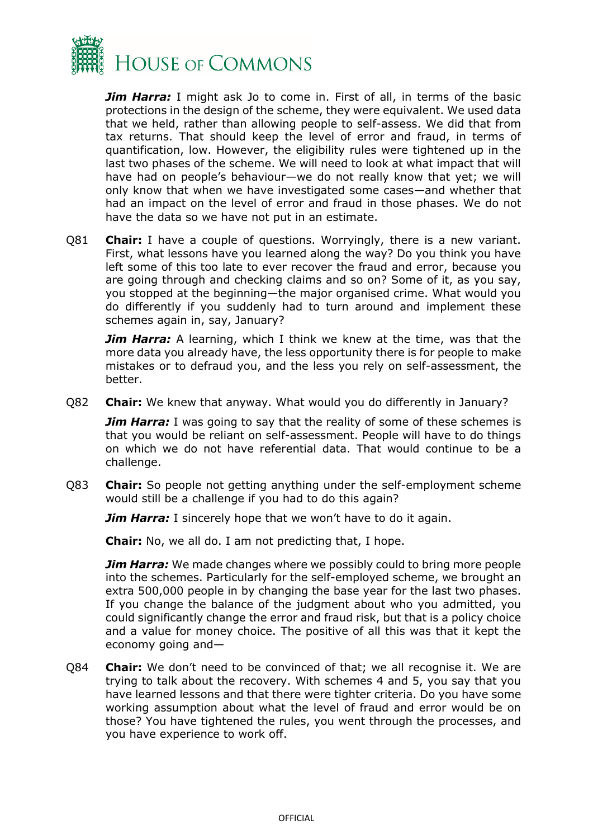

*Jim Harra:* I might ask Jo to come in. First of all, in terms of the basic protections in the design of the scheme, they were equivalent. We used data that we held, rather than allowing people to self-assess. We did that from tax returns. That should keep the level of error and fraud, in terms of quantification, low. However, the eligibility rules were tightened up in the last two phases of the scheme. We will need to look at what impact that will have had on people's behaviour—we do not really know that yet; we will only know that when we have investigated some cases—and whether that had an impact on the level of error and fraud in those phases. We do not have the data so we have not put in an estimate.

Q81 **Chair:** I have a couple of questions. Worryingly, there is a new variant. First, what lessons have you learned along the way? Do you think you have left some of this too late to ever recover the fraud and error, because you are going through and checking claims and so on? Some of it, as you say, you stopped at the beginning—the major organised crime. What would you do differently if you suddenly had to turn around and implement these schemes again in, say, January?

**Jim Harra:** A learning, which I think we knew at the time, was that the more data you already have, the less opportunity there is for people to make mistakes or to defraud you, and the less you rely on self-assessment, the better.

Q82 **Chair:** We knew that anyway. What would you do differently in January?

*Jim Harra:* I was going to say that the reality of some of these schemes is that you would be reliant on self-assessment. People will have to do things on which we do not have referential data. That would continue to be a challenge.

Q83 **Chair:** So people not getting anything under the self-employment scheme would still be a challenge if you had to do this again?

*Jim Harra:* I sincerely hope that we won't have to do it again.

**Chair:** No, we all do. I am not predicting that, I hope.

*Jim Harra:* We made changes where we possibly could to bring more people into the schemes. Particularly for the self-employed scheme, we brought an extra 500,000 people in by changing the base year for the last two phases. If you change the balance of the judgment about who you admitted, you could significantly change the error and fraud risk, but that is a policy choice and a value for money choice. The positive of all this was that it kept the economy going and—

Q84 **Chair:** We don't need to be convinced of that; we all recognise it. We are trying to talk about the recovery. With schemes 4 and 5, you say that you have learned lessons and that there were tighter criteria. Do you have some working assumption about what the level of fraud and error would be on those? You have tightened the rules, you went through the processes, and you have experience to work off.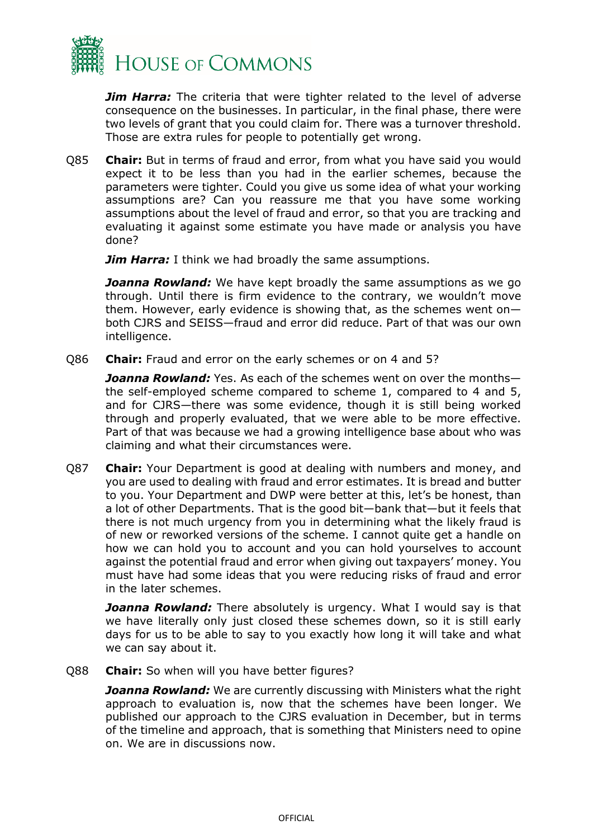

*Jim Harra:* The criteria that were tighter related to the level of adverse consequence on the businesses. In particular, in the final phase, there were two levels of grant that you could claim for. There was a turnover threshold. Those are extra rules for people to potentially get wrong.

Q85 **Chair:** But in terms of fraud and error, from what you have said you would expect it to be less than you had in the earlier schemes, because the parameters were tighter. Could you give us some idea of what your working assumptions are? Can you reassure me that you have some working assumptions about the level of fraud and error, so that you are tracking and evaluating it against some estimate you have made or analysis you have done?

*Jim Harra:* I think we had broadly the same assumptions.

**Joanna Rowland:** We have kept broadly the same assumptions as we go through. Until there is firm evidence to the contrary, we wouldn't move them. However, early evidence is showing that, as the schemes went on both CJRS and SEISS—fraud and error did reduce. Part of that was our own intelligence.

Q86 **Chair:** Fraud and error on the early schemes or on 4 and 5?

*Joanna Rowland:* Yes. As each of the schemes went on over the months the self-employed scheme compared to scheme 1, compared to 4 and 5, and for CJRS—there was some evidence, though it is still being worked through and properly evaluated, that we were able to be more effective. Part of that was because we had a growing intelligence base about who was claiming and what their circumstances were.

Q87 **Chair:** Your Department is good at dealing with numbers and money, and you are used to dealing with fraud and error estimates. It is bread and butter to you. Your Department and DWP were better at this, let's be honest, than a lot of other Departments. That is the good bit—bank that—but it feels that there is not much urgency from you in determining what the likely fraud is of new or reworked versions of the scheme. I cannot quite get a handle on how we can hold you to account and you can hold yourselves to account against the potential fraud and error when giving out taxpayers' money. You must have had some ideas that you were reducing risks of fraud and error in the later schemes.

*Joanna Rowland:* There absolutely is urgency. What I would say is that we have literally only just closed these schemes down, so it is still early days for us to be able to say to you exactly how long it will take and what we can say about it.

Q88 **Chair:** So when will you have better figures?

*Joanna Rowland:* We are currently discussing with Ministers what the right approach to evaluation is, now that the schemes have been longer. We published our approach to the CJRS evaluation in December, but in terms of the timeline and approach, that is something that Ministers need to opine on. We are in discussions now.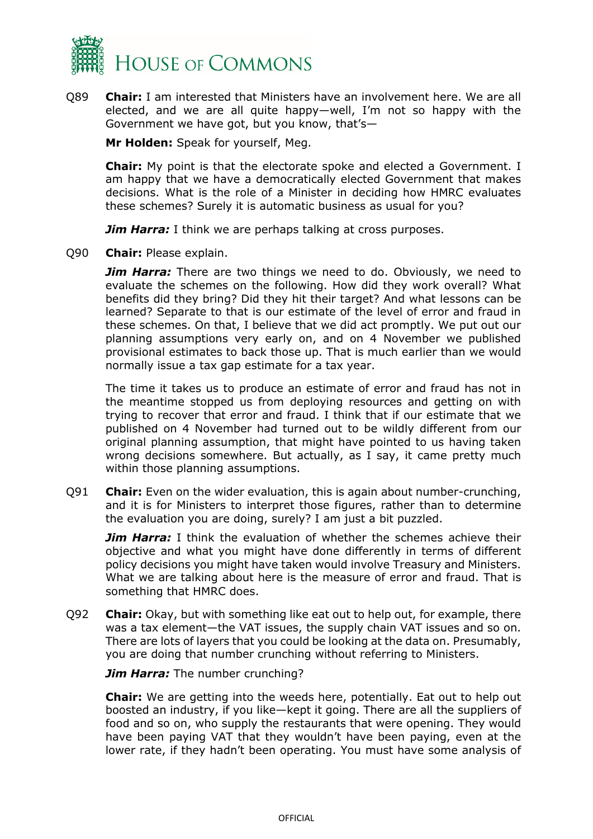

Q89 **Chair:** I am interested that Ministers have an involvement here. We are all elected, and we are all quite happy—well, I'm not so happy with the Government we have got, but you know, that's—

**Mr Holden:** Speak for yourself, Meg.

**Chair:** My point is that the electorate spoke and elected a Government. I am happy that we have a democratically elected Government that makes decisions. What is the role of a Minister in deciding how HMRC evaluates these schemes? Surely it is automatic business as usual for you?

*Jim Harra:* I think we are perhaps talking at cross purposes.

Q90 **Chair:** Please explain.

**Jim Harra:** There are two things we need to do. Obviously, we need to evaluate the schemes on the following. How did they work overall? What benefits did they bring? Did they hit their target? And what lessons can be learned? Separate to that is our estimate of the level of error and fraud in these schemes. On that, I believe that we did act promptly. We put out our planning assumptions very early on, and on 4 November we published provisional estimates to back those up. That is much earlier than we would normally issue a tax gap estimate for a tax year.

The time it takes us to produce an estimate of error and fraud has not in the meantime stopped us from deploying resources and getting on with trying to recover that error and fraud. I think that if our estimate that we published on 4 November had turned out to be wildly different from our original planning assumption, that might have pointed to us having taken wrong decisions somewhere. But actually, as I say, it came pretty much within those planning assumptions.

Q91 **Chair:** Even on the wider evaluation, this is again about number-crunching, and it is for Ministers to interpret those figures, rather than to determine the evaluation you are doing, surely? I am just a bit puzzled.

**Jim Harra:** I think the evaluation of whether the schemes achieve their objective and what you might have done differently in terms of different policy decisions you might have taken would involve Treasury and Ministers. What we are talking about here is the measure of error and fraud. That is something that HMRC does.

Q92 **Chair:** Okay, but with something like eat out to help out, for example, there was a tax element—the VAT issues, the supply chain VAT issues and so on. There are lots of layers that you could be looking at the data on. Presumably, you are doing that number crunching without referring to Ministers.

*Jim Harra:* The number crunching?

**Chair:** We are getting into the weeds here, potentially. Eat out to help out boosted an industry, if you like—kept it going. There are all the suppliers of food and so on, who supply the restaurants that were opening. They would have been paying VAT that they wouldn't have been paying, even at the lower rate, if they hadn't been operating. You must have some analysis of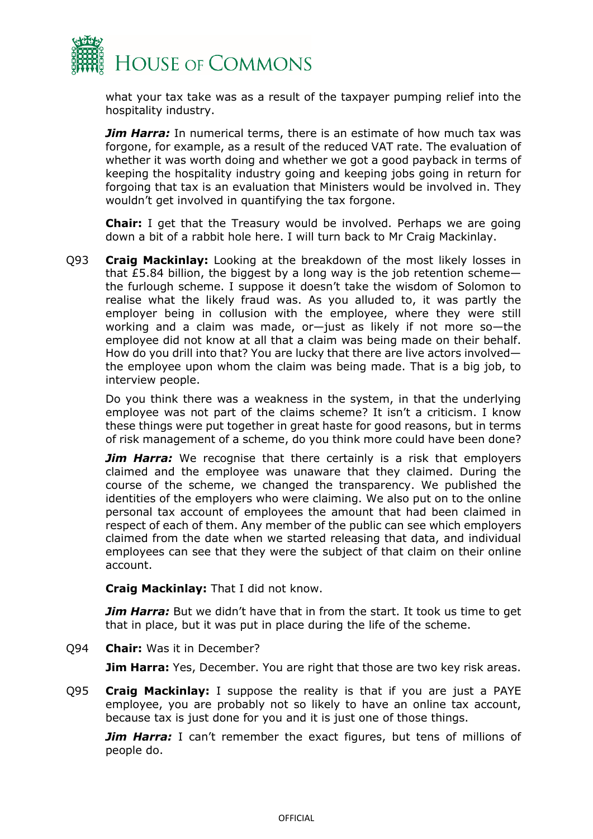

what your tax take was as a result of the taxpayer pumping relief into the hospitality industry.

*Jim Harra:* In numerical terms, there is an estimate of how much tax was forgone, for example, as a result of the reduced VAT rate. The evaluation of whether it was worth doing and whether we got a good payback in terms of keeping the hospitality industry going and keeping jobs going in return for forgoing that tax is an evaluation that Ministers would be involved in. They wouldn't get involved in quantifying the tax forgone.

**Chair:** I get that the Treasury would be involved. Perhaps we are going down a bit of a rabbit hole here. I will turn back to Mr Craig Mackinlay.

Q93 **Craig Mackinlay:** Looking at the breakdown of the most likely losses in that  $£5.84$  billion, the biggest by a long way is the job retention scheme the furlough scheme. I suppose it doesn't take the wisdom of Solomon to realise what the likely fraud was. As you alluded to, it was partly the employer being in collusion with the employee, where they were still working and a claim was made, or—just as likely if not more so—the employee did not know at all that a claim was being made on their behalf. How do you drill into that? You are lucky that there are live actors involved the employee upon whom the claim was being made. That is a big job, to interview people.

Do you think there was a weakness in the system, in that the underlying employee was not part of the claims scheme? It isn't a criticism. I know these things were put together in great haste for good reasons, but in terms of risk management of a scheme, do you think more could have been done?

*Jim Harra:* We recognise that there certainly is a risk that employers claimed and the employee was unaware that they claimed. During the course of the scheme, we changed the transparency. We published the identities of the employers who were claiming. We also put on to the online personal tax account of employees the amount that had been claimed in respect of each of them. Any member of the public can see which employers claimed from the date when we started releasing that data, and individual employees can see that they were the subject of that claim on their online account.

**Craig Mackinlay:** That I did not know.

*Jim Harra:* But we didn't have that in from the start. It took us time to get that in place, but it was put in place during the life of the scheme.

Q94 **Chair:** Was it in December?

**Jim Harra:** Yes, December. You are right that those are two key risk areas.

Q95 **Craig Mackinlay:** I suppose the reality is that if you are just a PAYE employee, you are probably not so likely to have an online tax account, because tax is just done for you and it is just one of those things.

**Jim Harra:** I can't remember the exact figures, but tens of millions of people do.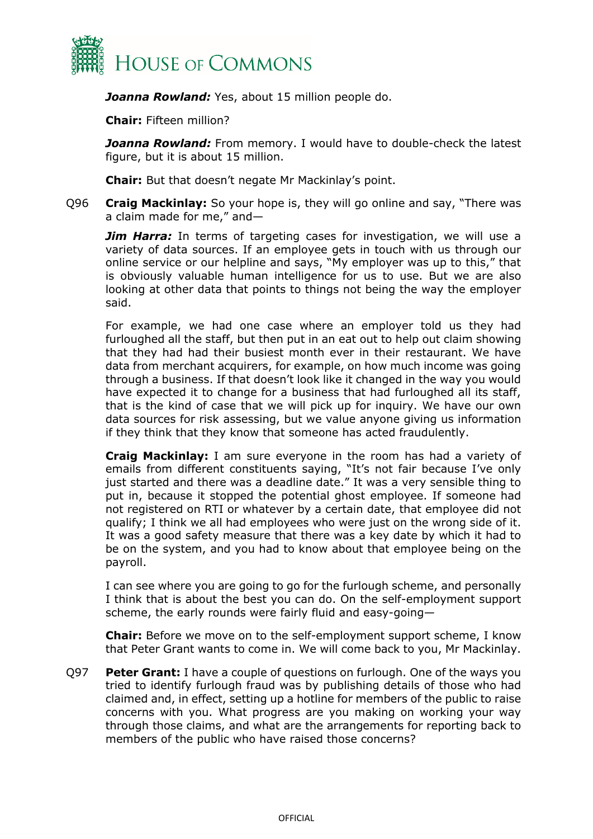

*Joanna Rowland:* Yes, about 15 million people do.

**Chair:** Fifteen million?

*Joanna Rowland:* From memory. I would have to double-check the latest figure, but it is about 15 million.

**Chair:** But that doesn't negate Mr Mackinlay's point.

Q96 **Craig Mackinlay:** So your hope is, they will go online and say, "There was a claim made for me," and—

*Jim Harra:* In terms of targeting cases for investigation, we will use a variety of data sources. If an employee gets in touch with us through our online service or our helpline and says, "My employer was up to this," that is obviously valuable human intelligence for us to use. But we are also looking at other data that points to things not being the way the employer said.

For example, we had one case where an employer told us they had furloughed all the staff, but then put in an eat out to help out claim showing that they had had their busiest month ever in their restaurant. We have data from merchant acquirers, for example, on how much income was going through a business. If that doesn't look like it changed in the way you would have expected it to change for a business that had furloughed all its staff, that is the kind of case that we will pick up for inquiry. We have our own data sources for risk assessing, but we value anyone giving us information if they think that they know that someone has acted fraudulently.

**Craig Mackinlay:** I am sure everyone in the room has had a variety of emails from different constituents saying, "It's not fair because I've only just started and there was a deadline date." It was a very sensible thing to put in, because it stopped the potential ghost employee. If someone had not registered on RTI or whatever by a certain date, that employee did not qualify; I think we all had employees who were just on the wrong side of it. It was a good safety measure that there was a key date by which it had to be on the system, and you had to know about that employee being on the payroll.

I can see where you are going to go for the furlough scheme, and personally I think that is about the best you can do. On the self-employment support scheme, the early rounds were fairly fluid and easy-going—

**Chair:** Before we move on to the self-employment support scheme, I know that Peter Grant wants to come in. We will come back to you, Mr Mackinlay.

Q97 **Peter Grant:** I have a couple of questions on furlough. One of the ways you tried to identify furlough fraud was by publishing details of those who had claimed and, in effect, setting up a hotline for members of the public to raise concerns with you. What progress are you making on working your way through those claims, and what are the arrangements for reporting back to members of the public who have raised those concerns?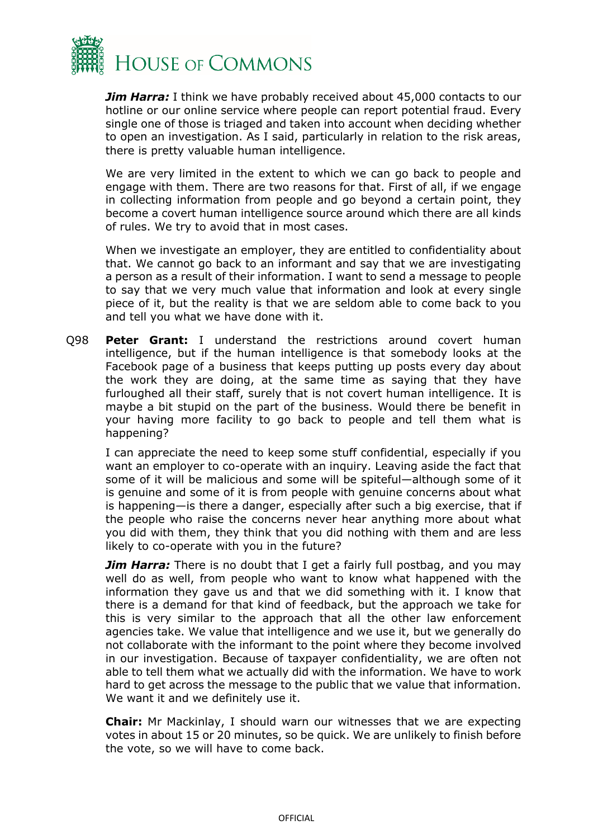

*Jim Harra:* I think we have probably received about 45,000 contacts to our hotline or our online service where people can report potential fraud. Every single one of those is triaged and taken into account when deciding whether to open an investigation. As I said, particularly in relation to the risk areas, there is pretty valuable human intelligence.

We are very limited in the extent to which we can go back to people and engage with them. There are two reasons for that. First of all, if we engage in collecting information from people and go beyond a certain point, they become a covert human intelligence source around which there are all kinds of rules. We try to avoid that in most cases.

When we investigate an employer, they are entitled to confidentiality about that. We cannot go back to an informant and say that we are investigating a person as a result of their information. I want to send a message to people to say that we very much value that information and look at every single piece of it, but the reality is that we are seldom able to come back to you and tell you what we have done with it.

Q98 **Peter Grant:** I understand the restrictions around covert human intelligence, but if the human intelligence is that somebody looks at the Facebook page of a business that keeps putting up posts every day about the work they are doing, at the same time as saying that they have furloughed all their staff, surely that is not covert human intelligence. It is maybe a bit stupid on the part of the business. Would there be benefit in your having more facility to go back to people and tell them what is happening?

I can appreciate the need to keep some stuff confidential, especially if you want an employer to co-operate with an inquiry. Leaving aside the fact that some of it will be malicious and some will be spiteful—although some of it is genuine and some of it is from people with genuine concerns about what is happening—is there a danger, especially after such a big exercise, that if the people who raise the concerns never hear anything more about what you did with them, they think that you did nothing with them and are less likely to co-operate with you in the future?

*Jim Harra:* There is no doubt that I get a fairly full postbag, and you may well do as well, from people who want to know what happened with the information they gave us and that we did something with it. I know that there is a demand for that kind of feedback, but the approach we take for this is very similar to the approach that all the other law enforcement agencies take. We value that intelligence and we use it, but we generally do not collaborate with the informant to the point where they become involved in our investigation. Because of taxpayer confidentiality, we are often not able to tell them what we actually did with the information. We have to work hard to get across the message to the public that we value that information. We want it and we definitely use it.

**Chair:** Mr Mackinlay, I should warn our witnesses that we are expecting votes in about 15 or 20 minutes, so be quick. We are unlikely to finish before the vote, so we will have to come back.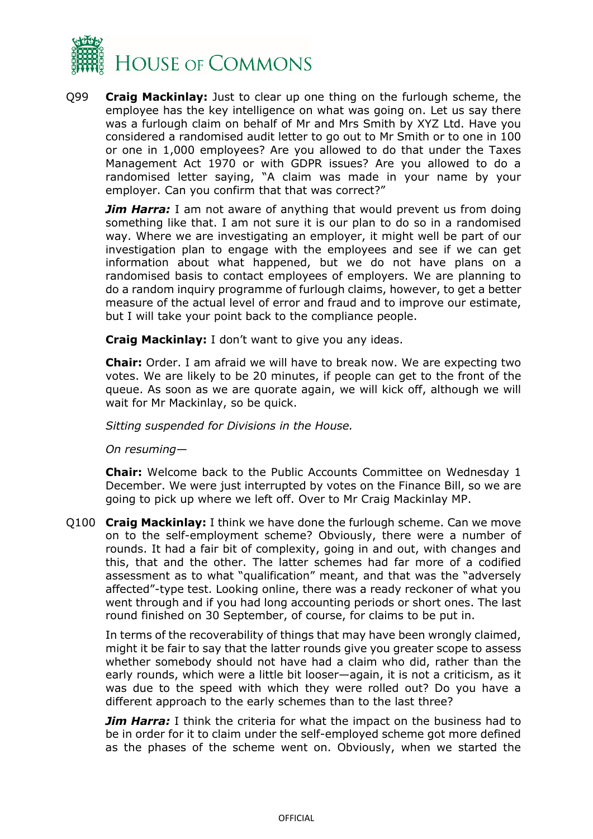

Q99 **Craig Mackinlay:** Just to clear up one thing on the furlough scheme, the employee has the key intelligence on what was going on. Let us say there was a furlough claim on behalf of Mr and Mrs Smith by XYZ Ltd. Have you considered a randomised audit letter to go out to Mr Smith or to one in 100 or one in 1,000 employees? Are you allowed to do that under the Taxes Management Act 1970 or with GDPR issues? Are you allowed to do a randomised letter saying, "A claim was made in your name by your employer. Can you confirm that that was correct?"

**Jim Harra:** I am not aware of anything that would prevent us from doing something like that. I am not sure it is our plan to do so in a randomised way. Where we are investigating an employer, it might well be part of our investigation plan to engage with the employees and see if we can get information about what happened, but we do not have plans on a randomised basis to contact employees of employers. We are planning to do a random inquiry programme of furlough claims, however, to get a better measure of the actual level of error and fraud and to improve our estimate, but I will take your point back to the compliance people.

**Craig Mackinlay:** I don't want to give you any ideas.

**Chair:** Order. I am afraid we will have to break now. We are expecting two votes. We are likely to be 20 minutes, if people can get to the front of the queue. As soon as we are quorate again, we will kick off, although we will wait for Mr Mackinlay, so be quick.

*Sitting suspended for Divisions in the House.*

*On resuming—*

**Chair:** Welcome back to the Public Accounts Committee on Wednesday 1 December. We were just interrupted by votes on the Finance Bill, so we are going to pick up where we left off. Over to Mr Craig Mackinlay MP.

Q100 **Craig Mackinlay:** I think we have done the furlough scheme. Can we move on to the self-employment scheme? Obviously, there were a number of rounds. It had a fair bit of complexity, going in and out, with changes and this, that and the other. The latter schemes had far more of a codified assessment as to what "qualification" meant, and that was the "adversely affected"-type test. Looking online, there was a ready reckoner of what you went through and if you had long accounting periods or short ones. The last round finished on 30 September, of course, for claims to be put in.

In terms of the recoverability of things that may have been wrongly claimed, might it be fair to say that the latter rounds give you greater scope to assess whether somebody should not have had a claim who did, rather than the early rounds, which were a little bit looser—again, it is not a criticism, as it was due to the speed with which they were rolled out? Do you have a different approach to the early schemes than to the last three?

*Jim Harra:* I think the criteria for what the impact on the business had to be in order for it to claim under the self-employed scheme got more defined as the phases of the scheme went on. Obviously, when we started the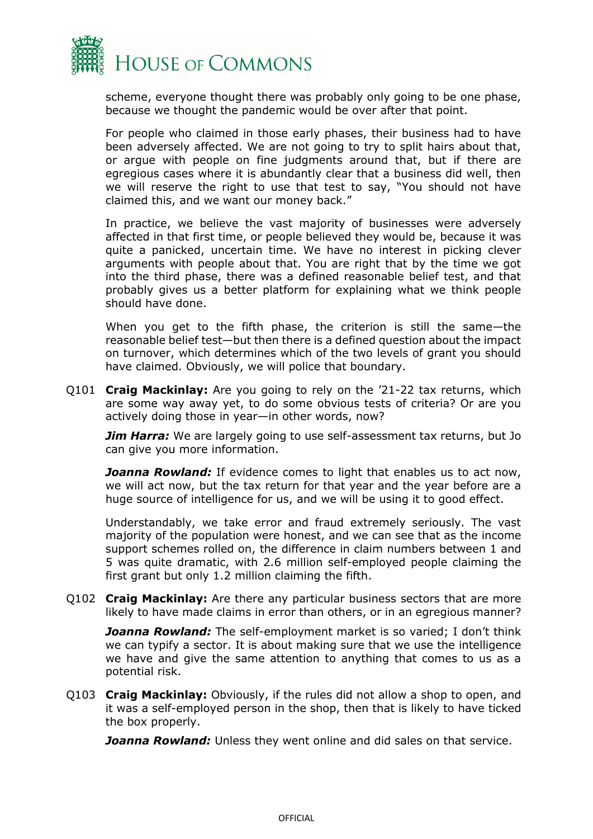

scheme, everyone thought there was probably only going to be one phase, because we thought the pandemic would be over after that point.

For people who claimed in those early phases, their business had to have been adversely affected. We are not going to try to split hairs about that, or argue with people on fine judgments around that, but if there are egregious cases where it is abundantly clear that a business did well, then we will reserve the right to use that test to say, "You should not have claimed this, and we want our money back."

In practice, we believe the vast majority of businesses were adversely affected in that first time, or people believed they would be, because it was quite a panicked, uncertain time. We have no interest in picking clever arguments with people about that. You are right that by the time we got into the third phase, there was a defined reasonable belief test, and that probably gives us a better platform for explaining what we think people should have done.

When you get to the fifth phase, the criterion is still the same—the reasonable belief test—but then there is a defined question about the impact on turnover, which determines which of the two levels of grant you should have claimed. Obviously, we will police that boundary.

Q101 **Craig Mackinlay:** Are you going to rely on the '21-22 tax returns, which are some way away yet, to do some obvious tests of criteria? Or are you actively doing those in year—in other words, now?

*Jim Harra:* We are largely going to use self-assessment tax returns, but Jo can give you more information.

*Joanna Rowland:* If evidence comes to light that enables us to act now, we will act now, but the tax return for that year and the year before are a huge source of intelligence for us, and we will be using it to good effect.

Understandably, we take error and fraud extremely seriously. The vast majority of the population were honest, and we can see that as the income support schemes rolled on, the difference in claim numbers between 1 and 5 was quite dramatic, with 2.6 million self-employed people claiming the first grant but only 1.2 million claiming the fifth.

Q102 **Craig Mackinlay:** Are there any particular business sectors that are more likely to have made claims in error than others, or in an egregious manner?

*Joanna Rowland:* The self-employment market is so varied; I don't think we can typify a sector. It is about making sure that we use the intelligence we have and give the same attention to anything that comes to us as a potential risk.

Q103 **Craig Mackinlay:** Obviously, if the rules did not allow a shop to open, and it was a self-employed person in the shop, then that is likely to have ticked the box properly.

*Joanna Rowland:* Unless they went online and did sales on that service.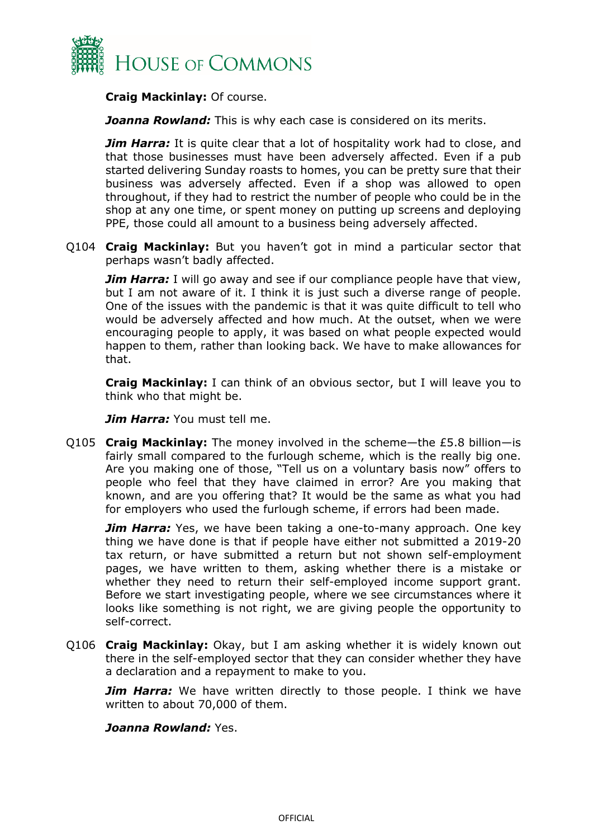

**Craig Mackinlay:** Of course.

**Joanna Rowland:** This is why each case is considered on its merits.

*Jim Harra:* It is quite clear that a lot of hospitality work had to close, and that those businesses must have been adversely affected. Even if a pub started delivering Sunday roasts to homes, you can be pretty sure that their business was adversely affected. Even if a shop was allowed to open throughout, if they had to restrict the number of people who could be in the shop at any one time, or spent money on putting up screens and deploying PPE, those could all amount to a business being adversely affected.

Q104 **Craig Mackinlay:** But you haven't got in mind a particular sector that perhaps wasn't badly affected.

*Jim Harra:* I will go away and see if our compliance people have that view, but I am not aware of it. I think it is just such a diverse range of people. One of the issues with the pandemic is that it was quite difficult to tell who would be adversely affected and how much. At the outset, when we were encouraging people to apply, it was based on what people expected would happen to them, rather than looking back. We have to make allowances for that.

**Craig Mackinlay:** I can think of an obvious sector, but I will leave you to think who that might be.

*Jim Harra:* You must tell me.

Q105 **Craig Mackinlay:** The money involved in the scheme—the £5.8 billion—is fairly small compared to the furlough scheme, which is the really big one. Are you making one of those, "Tell us on a voluntary basis now" offers to people who feel that they have claimed in error? Are you making that known, and are you offering that? It would be the same as what you had for employers who used the furlough scheme, if errors had been made.

*Jim Harra:* Yes, we have been taking a one-to-many approach. One key thing we have done is that if people have either not submitted a 2019-20 tax return, or have submitted a return but not shown self-employment pages, we have written to them, asking whether there is a mistake or whether they need to return their self-employed income support grant. Before we start investigating people, where we see circumstances where it looks like something is not right, we are giving people the opportunity to self-correct.

Q106 **Craig Mackinlay:** Okay, but I am asking whether it is widely known out there in the self-employed sector that they can consider whether they have a declaration and a repayment to make to you.

**Jim Harra:** We have written directly to those people. I think we have written to about 70,000 of them.

#### *Joanna Rowland:* Yes.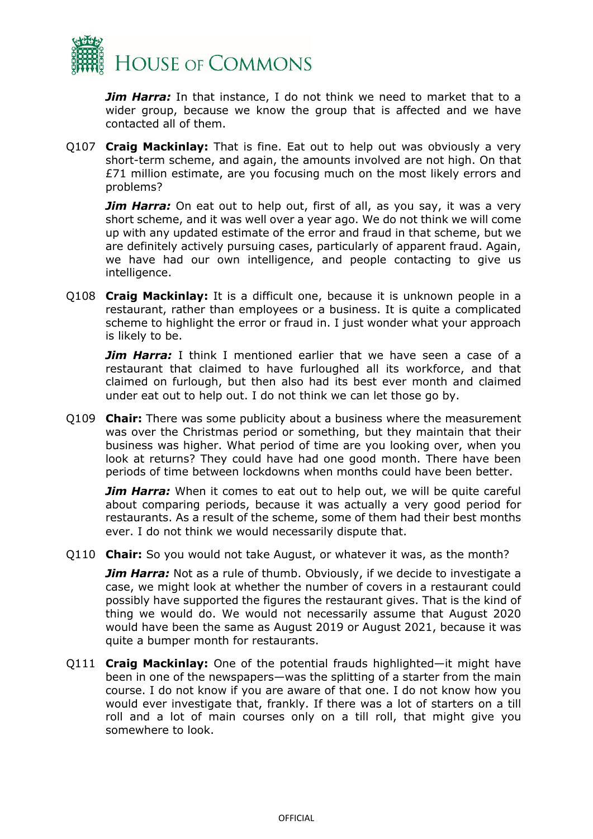

*Jim Harra:* In that instance, I do not think we need to market that to a wider group, because we know the group that is affected and we have contacted all of them.

Q107 **Craig Mackinlay:** That is fine. Eat out to help out was obviously a very short-term scheme, and again, the amounts involved are not high. On that £71 million estimate, are you focusing much on the most likely errors and problems?

*Jim Harra:* On eat out to help out, first of all, as you say, it was a very short scheme, and it was well over a year ago. We do not think we will come up with any updated estimate of the error and fraud in that scheme, but we are definitely actively pursuing cases, particularly of apparent fraud. Again, we have had our own intelligence, and people contacting to give us intelligence.

Q108 **Craig Mackinlay:** It is a difficult one, because it is unknown people in a restaurant, rather than employees or a business. It is quite a complicated scheme to highlight the error or fraud in. I just wonder what your approach is likely to be.

*Jim Harra:* I think I mentioned earlier that we have seen a case of a restaurant that claimed to have furloughed all its workforce, and that claimed on furlough, but then also had its best ever month and claimed under eat out to help out. I do not think we can let those go by.

Q109 **Chair:** There was some publicity about a business where the measurement was over the Christmas period or something, but they maintain that their business was higher. What period of time are you looking over, when you look at returns? They could have had one good month. There have been periods of time between lockdowns when months could have been better.

*Jim Harra:* When it comes to eat out to help out, we will be quite careful about comparing periods, because it was actually a very good period for restaurants. As a result of the scheme, some of them had their best months ever. I do not think we would necessarily dispute that.

Q110 **Chair:** So you would not take August, or whatever it was, as the month?

*Jim Harra:* Not as a rule of thumb. Obviously, if we decide to investigate a case, we might look at whether the number of covers in a restaurant could possibly have supported the figures the restaurant gives. That is the kind of thing we would do. We would not necessarily assume that August 2020 would have been the same as August 2019 or August 2021, because it was quite a bumper month for restaurants.

Q111 **Craig Mackinlay:** One of the potential frauds highlighted—it might have been in one of the newspapers—was the splitting of a starter from the main course. I do not know if you are aware of that one. I do not know how you would ever investigate that, frankly. If there was a lot of starters on a till roll and a lot of main courses only on a till roll, that might give you somewhere to look.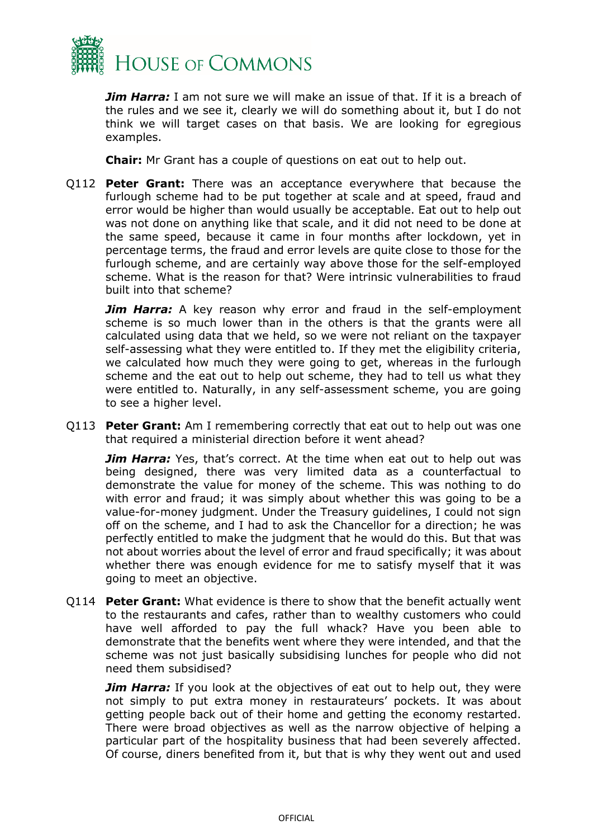

*Jim Harra:* I am not sure we will make an issue of that. If it is a breach of the rules and we see it, clearly we will do something about it, but I do not think we will target cases on that basis. We are looking for egregious examples.

**Chair:** Mr Grant has a couple of questions on eat out to help out.

Q112 **Peter Grant:** There was an acceptance everywhere that because the furlough scheme had to be put together at scale and at speed, fraud and error would be higher than would usually be acceptable. Eat out to help out was not done on anything like that scale, and it did not need to be done at the same speed, because it came in four months after lockdown, yet in percentage terms, the fraud and error levels are quite close to those for the furlough scheme, and are certainly way above those for the self-employed scheme. What is the reason for that? Were intrinsic vulnerabilities to fraud built into that scheme?

*Jim Harra:* A key reason why error and fraud in the self-employment scheme is so much lower than in the others is that the grants were all calculated using data that we held, so we were not reliant on the taxpayer self-assessing what they were entitled to. If they met the eligibility criteria, we calculated how much they were going to get, whereas in the furlough scheme and the eat out to help out scheme, they had to tell us what they were entitled to. Naturally, in any self-assessment scheme, you are going to see a higher level.

Q113 **Peter Grant:** Am I remembering correctly that eat out to help out was one that required a ministerial direction before it went ahead?

**Jim Harra:** Yes, that's correct. At the time when eat out to help out was being designed, there was very limited data as a counterfactual to demonstrate the value for money of the scheme. This was nothing to do with error and fraud; it was simply about whether this was going to be a value-for-money judgment. Under the Treasury guidelines, I could not sign off on the scheme, and I had to ask the Chancellor for a direction; he was perfectly entitled to make the judgment that he would do this. But that was not about worries about the level of error and fraud specifically; it was about whether there was enough evidence for me to satisfy myself that it was going to meet an objective.

Q114 **Peter Grant:** What evidence is there to show that the benefit actually went to the restaurants and cafes, rather than to wealthy customers who could have well afforded to pay the full whack? Have you been able to demonstrate that the benefits went where they were intended, and that the scheme was not just basically subsidising lunches for people who did not need them subsidised?

*Jim Harra:* If you look at the objectives of eat out to help out, they were not simply to put extra money in restaurateurs' pockets. It was about getting people back out of their home and getting the economy restarted. There were broad objectives as well as the narrow objective of helping a particular part of the hospitality business that had been severely affected. Of course, diners benefited from it, but that is why they went out and used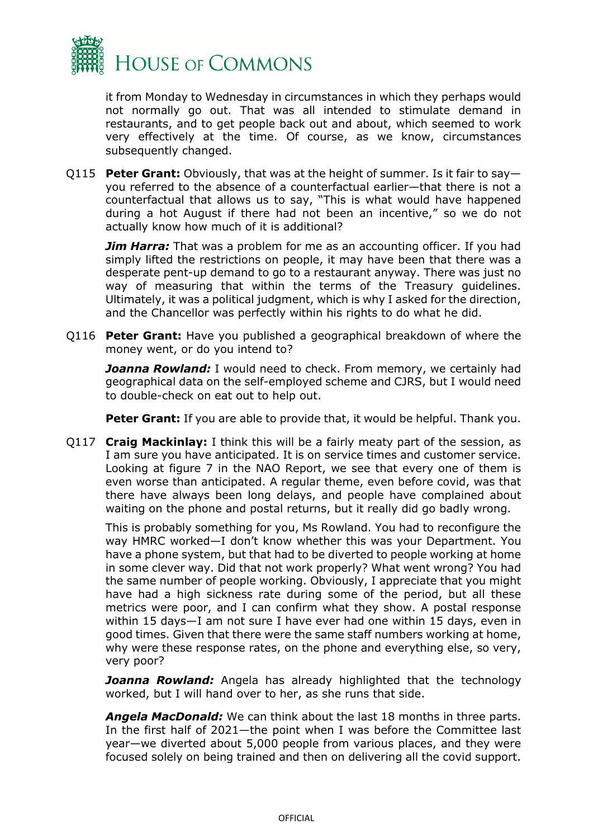

it from Monday to Wednesday in circumstances in which they perhaps would not normally go out. That was all intended to stimulate demand in restaurants, and to get people back out and about, which seemed to work very effectively at the time. Of course, as we know, circumstances subsequently changed.

Q115 **Peter Grant:** Obviously, that was at the height of summer. Is it fair to say you referred to the absence of a counterfactual earlier—that there is not a counterfactual that allows us to say, "This is what would have happened during a hot August if there had not been an incentive," so we do not actually know how much of it is additional?

*Jim Harra:* That was a problem for me as an accounting officer. If you had simply lifted the restrictions on people, it may have been that there was a desperate pent-up demand to go to a restaurant anyway. There was just no way of measuring that within the terms of the Treasury guidelines. Ultimately, it was a political judgment, which is why I asked for the direction, and the Chancellor was perfectly within his rights to do what he did.

Q116 **Peter Grant:** Have you published a geographical breakdown of where the money went, or do you intend to?

*Joanna Rowland:* I would need to check. From memory, we certainly had geographical data on the self-employed scheme and CJRS, but I would need to double-check on eat out to help out.

**Peter Grant:** If you are able to provide that, it would be helpful. Thank you.

Q117 **Craig Mackinlay:** I think this will be a fairly meaty part of the session, as I am sure you have anticipated. It is on service times and customer service. Looking at figure 7 in the NAO Report, we see that every one of them is even worse than anticipated. A regular theme, even before covid, was that there have always been long delays, and people have complained about waiting on the phone and postal returns, but it really did go badly wrong.

This is probably something for you, Ms Rowland. You had to reconfigure the way HMRC worked—I don't know whether this was your Department. You have a phone system, but that had to be diverted to people working at home in some clever way. Did that not work properly? What went wrong? You had the same number of people working. Obviously, I appreciate that you might have had a high sickness rate during some of the period, but all these metrics were poor, and I can confirm what they show. A postal response within 15 days—I am not sure I have ever had one within 15 days, even in good times. Given that there were the same staff numbers working at home, why were these response rates, on the phone and everything else, so very, very poor?

**Joanna Rowland:** Angela has already highlighted that the technology worked, but I will hand over to her, as she runs that side.

*Angela MacDonald:* We can think about the last 18 months in three parts. In the first half of 2021—the point when I was before the Committee last year—we diverted about 5,000 people from various places, and they were focused solely on being trained and then on delivering all the covid support.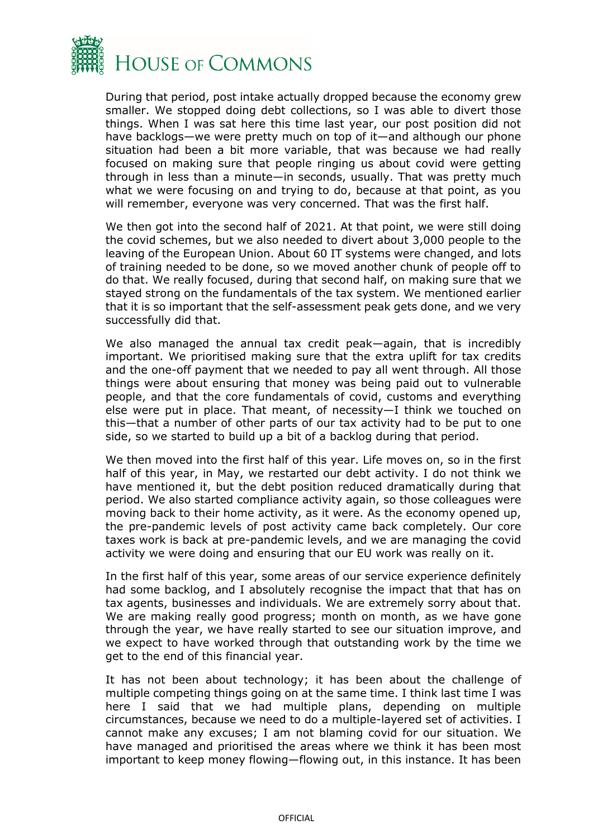

During that period, post intake actually dropped because the economy grew smaller. We stopped doing debt collections, so I was able to divert those things. When I was sat here this time last year, our post position did not have backlogs—we were pretty much on top of it—and although our phone situation had been a bit more variable, that was because we had really focused on making sure that people ringing us about covid were getting through in less than a minute—in seconds, usually. That was pretty much what we were focusing on and trying to do, because at that point, as you will remember, everyone was very concerned. That was the first half.

We then got into the second half of 2021. At that point, we were still doing the covid schemes, but we also needed to divert about 3,000 people to the leaving of the European Union. About 60 IT systems were changed, and lots of training needed to be done, so we moved another chunk of people off to do that. We really focused, during that second half, on making sure that we stayed strong on the fundamentals of the tax system. We mentioned earlier that it is so important that the self-assessment peak gets done, and we very successfully did that.

We also managed the annual tax credit peak—again, that is incredibly important. We prioritised making sure that the extra uplift for tax credits and the one-off payment that we needed to pay all went through. All those things were about ensuring that money was being paid out to vulnerable people, and that the core fundamentals of covid, customs and everything else were put in place. That meant, of necessity—I think we touched on this—that a number of other parts of our tax activity had to be put to one side, so we started to build up a bit of a backlog during that period.

We then moved into the first half of this year. Life moves on, so in the first half of this year, in May, we restarted our debt activity. I do not think we have mentioned it, but the debt position reduced dramatically during that period. We also started compliance activity again, so those colleagues were moving back to their home activity, as it were. As the economy opened up, the pre-pandemic levels of post activity came back completely. Our core taxes work is back at pre-pandemic levels, and we are managing the covid activity we were doing and ensuring that our EU work was really on it.

In the first half of this year, some areas of our service experience definitely had some backlog, and I absolutely recognise the impact that that has on tax agents, businesses and individuals. We are extremely sorry about that. We are making really good progress; month on month, as we have gone through the year, we have really started to see our situation improve, and we expect to have worked through that outstanding work by the time we get to the end of this financial year.

It has not been about technology; it has been about the challenge of multiple competing things going on at the same time. I think last time I was here I said that we had multiple plans, depending on multiple circumstances, because we need to do a multiple-layered set of activities. I cannot make any excuses; I am not blaming covid for our situation. We have managed and prioritised the areas where we think it has been most important to keep money flowing—flowing out, in this instance. It has been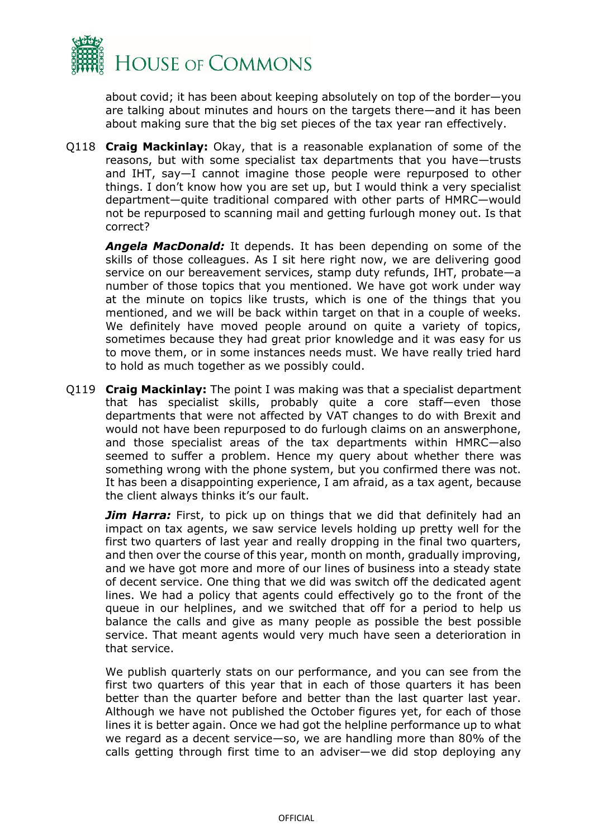

about covid; it has been about keeping absolutely on top of the border—you are talking about minutes and hours on the targets there—and it has been about making sure that the big set pieces of the tax year ran effectively.

Q118 **Craig Mackinlay:** Okay, that is a reasonable explanation of some of the reasons, but with some specialist tax departments that you have—trusts and IHT, say—I cannot imagine those people were repurposed to other things. I don't know how you are set up, but I would think a very specialist department—quite traditional compared with other parts of HMRC—would not be repurposed to scanning mail and getting furlough money out. Is that correct?

*Angela MacDonald:* It depends. It has been depending on some of the skills of those colleagues. As I sit here right now, we are delivering good service on our bereavement services, stamp duty refunds, IHT, probate—a number of those topics that you mentioned. We have got work under way at the minute on topics like trusts, which is one of the things that you mentioned, and we will be back within target on that in a couple of weeks. We definitely have moved people around on quite a variety of topics, sometimes because they had great prior knowledge and it was easy for us to move them, or in some instances needs must. We have really tried hard to hold as much together as we possibly could.

Q119 **Craig Mackinlay:** The point I was making was that a specialist department that has specialist skills, probably quite a core staff—even those departments that were not affected by VAT changes to do with Brexit and would not have been repurposed to do furlough claims on an answerphone, and those specialist areas of the tax departments within HMRC—also seemed to suffer a problem. Hence my query about whether there was something wrong with the phone system, but you confirmed there was not. It has been a disappointing experience, I am afraid, as a tax agent, because the client always thinks it's our fault.

**Jim Harra:** First, to pick up on things that we did that definitely had an impact on tax agents, we saw service levels holding up pretty well for the first two quarters of last year and really dropping in the final two quarters, and then over the course of this year, month on month, gradually improving, and we have got more and more of our lines of business into a steady state of decent service. One thing that we did was switch off the dedicated agent lines. We had a policy that agents could effectively go to the front of the queue in our helplines, and we switched that off for a period to help us balance the calls and give as many people as possible the best possible service. That meant agents would very much have seen a deterioration in that service.

We publish quarterly stats on our performance, and you can see from the first two quarters of this year that in each of those quarters it has been better than the quarter before and better than the last quarter last year. Although we have not published the October figures yet, for each of those lines it is better again. Once we had got the helpline performance up to what we regard as a decent service—so, we are handling more than 80% of the calls getting through first time to an adviser—we did stop deploying any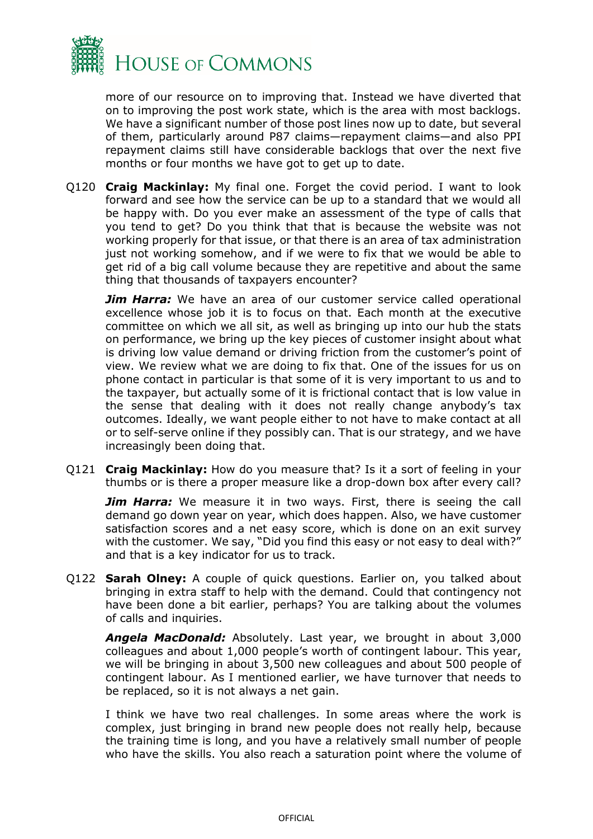

more of our resource on to improving that. Instead we have diverted that on to improving the post work state, which is the area with most backlogs. We have a significant number of those post lines now up to date, but several of them, particularly around P87 claims—repayment claims—and also PPI repayment claims still have considerable backlogs that over the next five months or four months we have got to get up to date.

Q120 **Craig Mackinlay:** My final one. Forget the covid period. I want to look forward and see how the service can be up to a standard that we would all be happy with. Do you ever make an assessment of the type of calls that you tend to get? Do you think that that is because the website was not working properly for that issue, or that there is an area of tax administration just not working somehow, and if we were to fix that we would be able to get rid of a big call volume because they are repetitive and about the same thing that thousands of taxpayers encounter?

**Jim Harra:** We have an area of our customer service called operational excellence whose job it is to focus on that. Each month at the executive committee on which we all sit, as well as bringing up into our hub the stats on performance, we bring up the key pieces of customer insight about what is driving low value demand or driving friction from the customer's point of view. We review what we are doing to fix that. One of the issues for us on phone contact in particular is that some of it is very important to us and to the taxpayer, but actually some of it is frictional contact that is low value in the sense that dealing with it does not really change anybody's tax outcomes. Ideally, we want people either to not have to make contact at all or to self-serve online if they possibly can. That is our strategy, and we have increasingly been doing that.

Q121 **Craig Mackinlay:** How do you measure that? Is it a sort of feeling in your thumbs or is there a proper measure like a drop-down box after every call?

**Jim Harra:** We measure it in two ways. First, there is seeing the call demand go down year on year, which does happen. Also, we have customer satisfaction scores and a net easy score, which is done on an exit survey with the customer. We say, "Did you find this easy or not easy to deal with?" and that is a key indicator for us to track.

Q122 **Sarah Olney:** A couple of quick questions. Earlier on, you talked about bringing in extra staff to help with the demand. Could that contingency not have been done a bit earlier, perhaps? You are talking about the volumes of calls and inquiries.

*Angela MacDonald:* Absolutely. Last year, we brought in about 3,000 colleagues and about 1,000 people's worth of contingent labour. This year, we will be bringing in about 3,500 new colleagues and about 500 people of contingent labour. As I mentioned earlier, we have turnover that needs to be replaced, so it is not always a net gain.

I think we have two real challenges. In some areas where the work is complex, just bringing in brand new people does not really help, because the training time is long, and you have a relatively small number of people who have the skills. You also reach a saturation point where the volume of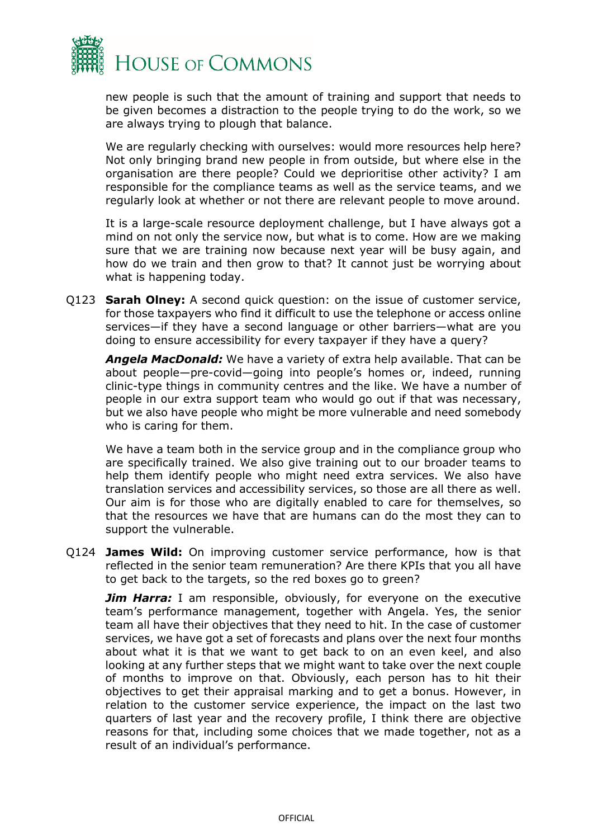

new people is such that the amount of training and support that needs to be given becomes a distraction to the people trying to do the work, so we are always trying to plough that balance.

We are regularly checking with ourselves: would more resources help here? Not only bringing brand new people in from outside, but where else in the organisation are there people? Could we deprioritise other activity? I am responsible for the compliance teams as well as the service teams, and we regularly look at whether or not there are relevant people to move around.

It is a large-scale resource deployment challenge, but I have always got a mind on not only the service now, but what is to come. How are we making sure that we are training now because next year will be busy again, and how do we train and then grow to that? It cannot just be worrying about what is happening today.

Q123 **Sarah Olney:** A second quick question: on the issue of customer service, for those taxpayers who find it difficult to use the telephone or access online services—if they have a second language or other barriers—what are you doing to ensure accessibility for every taxpayer if they have a query?

*Angela MacDonald:* We have a variety of extra help available. That can be about people—pre-covid—going into people's homes or, indeed, running clinic-type things in community centres and the like. We have a number of people in our extra support team who would go out if that was necessary, but we also have people who might be more vulnerable and need somebody who is caring for them.

We have a team both in the service group and in the compliance group who are specifically trained. We also give training out to our broader teams to help them identify people who might need extra services. We also have translation services and accessibility services, so those are all there as well. Our aim is for those who are digitally enabled to care for themselves, so that the resources we have that are humans can do the most they can to support the vulnerable.

Q124 **James Wild:** On improving customer service performance, how is that reflected in the senior team remuneration? Are there KPIs that you all have to get back to the targets, so the red boxes go to green?

*Jim Harra:* I am responsible, obviously, for everyone on the executive team's performance management, together with Angela. Yes, the senior team all have their objectives that they need to hit. In the case of customer services, we have got a set of forecasts and plans over the next four months about what it is that we want to get back to on an even keel, and also looking at any further steps that we might want to take over the next couple of months to improve on that. Obviously, each person has to hit their objectives to get their appraisal marking and to get a bonus. However, in relation to the customer service experience, the impact on the last two quarters of last year and the recovery profile, I think there are objective reasons for that, including some choices that we made together, not as a result of an individual's performance.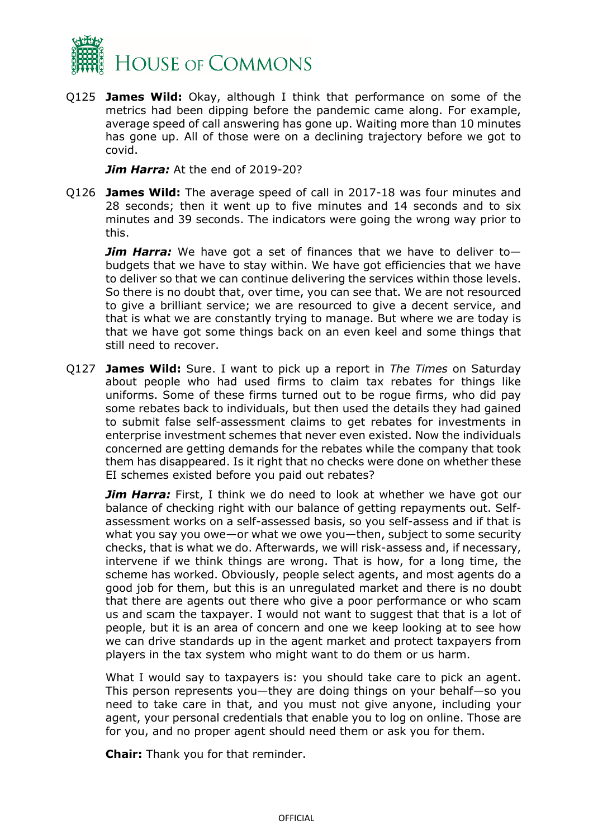

Q125 **James Wild:** Okay, although I think that performance on some of the metrics had been dipping before the pandemic came along. For example, average speed of call answering has gone up. Waiting more than 10 minutes has gone up. All of those were on a declining trajectory before we got to covid.

*Jim Harra:* At the end of 2019-20?

Q126 **James Wild:** The average speed of call in 2017-18 was four minutes and 28 seconds; then it went up to five minutes and 14 seconds and to six minutes and 39 seconds. The indicators were going the wrong way prior to this.

*Jim Harra:* We have got a set of finances that we have to deliver tobudgets that we have to stay within. We have got efficiencies that we have to deliver so that we can continue delivering the services within those levels. So there is no doubt that, over time, you can see that. We are not resourced to give a brilliant service; we are resourced to give a decent service, and that is what we are constantly trying to manage. But where we are today is that we have got some things back on an even keel and some things that still need to recover.

Q127 **James Wild:** Sure. I want to pick up a report in *The Times* on Saturday about people who had used firms to claim tax rebates for things like uniforms. Some of these firms turned out to be rogue firms, who did pay some rebates back to individuals, but then used the details they had gained to submit false self-assessment claims to get rebates for investments in enterprise investment schemes that never even existed. Now the individuals concerned are getting demands for the rebates while the company that took them has disappeared. Is it right that no checks were done on whether these EI schemes existed before you paid out rebates?

*Jim Harra:* First, I think we do need to look at whether we have got our balance of checking right with our balance of getting repayments out. Selfassessment works on a self-assessed basis, so you self-assess and if that is what you say you owe—or what we owe you—then, subject to some security checks, that is what we do. Afterwards, we will risk-assess and, if necessary, intervene if we think things are wrong. That is how, for a long time, the scheme has worked. Obviously, people select agents, and most agents do a good job for them, but this is an unregulated market and there is no doubt that there are agents out there who give a poor performance or who scam us and scam the taxpayer. I would not want to suggest that that is a lot of people, but it is an area of concern and one we keep looking at to see how we can drive standards up in the agent market and protect taxpayers from players in the tax system who might want to do them or us harm.

What I would say to taxpayers is: you should take care to pick an agent. This person represents you—they are doing things on your behalf—so you need to take care in that, and you must not give anyone, including your agent, your personal credentials that enable you to log on online. Those are for you, and no proper agent should need them or ask you for them.

**Chair:** Thank you for that reminder.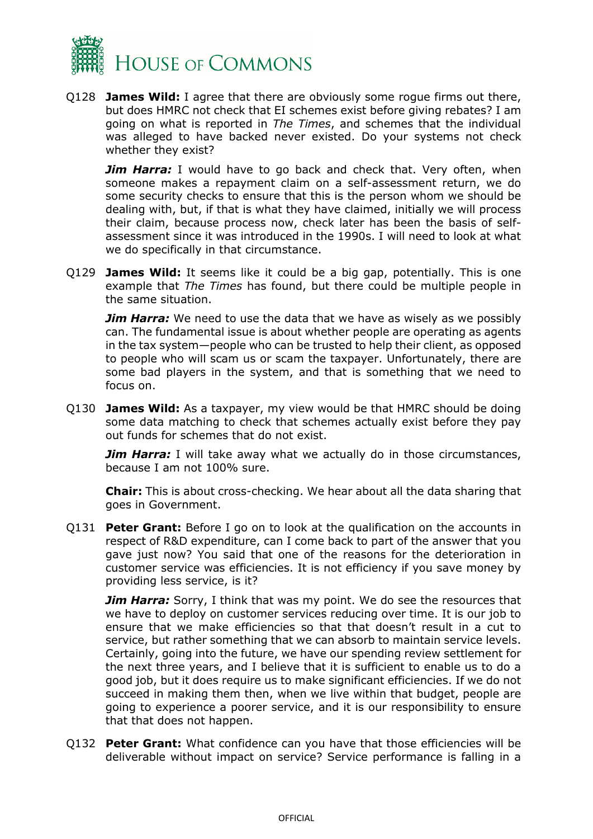

Q128 **James Wild:** I agree that there are obviously some rogue firms out there, but does HMRC not check that EI schemes exist before giving rebates? I am going on what is reported in *The Times*, and schemes that the individual was alleged to have backed never existed. Do your systems not check whether they exist?

*Jim Harra:* I would have to go back and check that. Very often, when someone makes a repayment claim on a self-assessment return, we do some security checks to ensure that this is the person whom we should be dealing with, but, if that is what they have claimed, initially we will process their claim, because process now, check later has been the basis of selfassessment since it was introduced in the 1990s. I will need to look at what we do specifically in that circumstance.

Q129 **James Wild:** It seems like it could be a big gap, potentially. This is one example that *The Times* has found, but there could be multiple people in the same situation.

*Jim Harra:* We need to use the data that we have as wisely as we possibly can. The fundamental issue is about whether people are operating as agents in the tax system—people who can be trusted to help their client, as opposed to people who will scam us or scam the taxpayer. Unfortunately, there are some bad players in the system, and that is something that we need to focus on.

Q130 **James Wild:** As a taxpayer, my view would be that HMRC should be doing some data matching to check that schemes actually exist before they pay out funds for schemes that do not exist.

*Jim Harra:* I will take away what we actually do in those circumstances, because I am not 100% sure.

**Chair:** This is about cross-checking. We hear about all the data sharing that goes in Government.

Q131 **Peter Grant:** Before I go on to look at the qualification on the accounts in respect of R&D expenditure, can I come back to part of the answer that you gave just now? You said that one of the reasons for the deterioration in customer service was efficiencies. It is not efficiency if you save money by providing less service, is it?

*Jim Harra:* Sorry, I think that was my point. We do see the resources that we have to deploy on customer services reducing over time. It is our job to ensure that we make efficiencies so that that doesn't result in a cut to service, but rather something that we can absorb to maintain service levels. Certainly, going into the future, we have our spending review settlement for the next three years, and I believe that it is sufficient to enable us to do a good job, but it does require us to make significant efficiencies. If we do not succeed in making them then, when we live within that budget, people are going to experience a poorer service, and it is our responsibility to ensure that that does not happen.

Q132 **Peter Grant:** What confidence can you have that those efficiencies will be deliverable without impact on service? Service performance is falling in a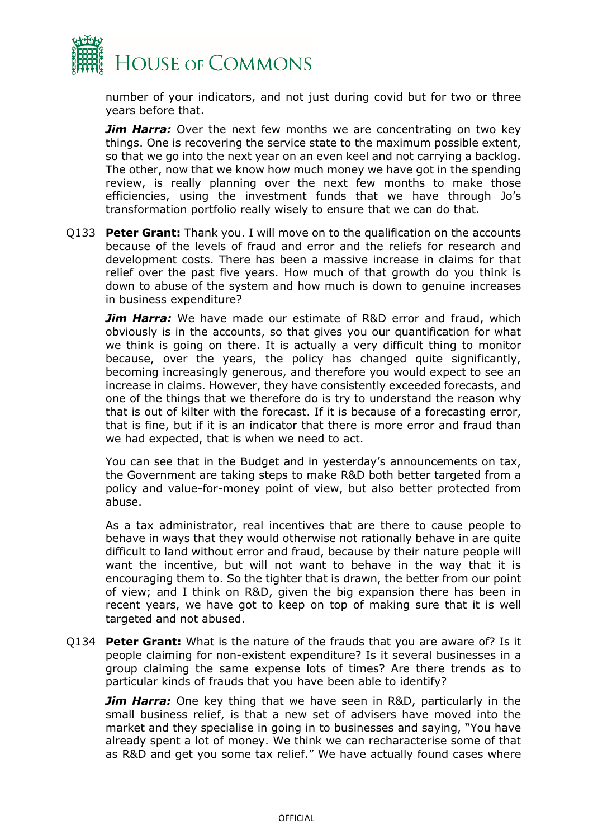

number of your indicators, and not just during covid but for two or three years before that.

*Jim Harra:* Over the next few months we are concentrating on two key things. One is recovering the service state to the maximum possible extent, so that we go into the next year on an even keel and not carrying a backlog. The other, now that we know how much money we have got in the spending review, is really planning over the next few months to make those efficiencies, using the investment funds that we have through Jo's transformation portfolio really wisely to ensure that we can do that.

Q133 **Peter Grant:** Thank you. I will move on to the qualification on the accounts because of the levels of fraud and error and the reliefs for research and development costs. There has been a massive increase in claims for that relief over the past five years. How much of that growth do you think is down to abuse of the system and how much is down to genuine increases in business expenditure?

*Jim Harra:* We have made our estimate of R&D error and fraud, which obviously is in the accounts, so that gives you our quantification for what we think is going on there. It is actually a very difficult thing to monitor because, over the years, the policy has changed quite significantly, becoming increasingly generous, and therefore you would expect to see an increase in claims. However, they have consistently exceeded forecasts, and one of the things that we therefore do is try to understand the reason why that is out of kilter with the forecast. If it is because of a forecasting error, that is fine, but if it is an indicator that there is more error and fraud than we had expected, that is when we need to act.

You can see that in the Budget and in yesterday's announcements on tax, the Government are taking steps to make R&D both better targeted from a policy and value-for-money point of view, but also better protected from abuse.

As a tax administrator, real incentives that are there to cause people to behave in ways that they would otherwise not rationally behave in are quite difficult to land without error and fraud, because by their nature people will want the incentive, but will not want to behave in the way that it is encouraging them to. So the tighter that is drawn, the better from our point of view; and I think on R&D, given the big expansion there has been in recent years, we have got to keep on top of making sure that it is well targeted and not abused.

Q134 **Peter Grant:** What is the nature of the frauds that you are aware of? Is it people claiming for non-existent expenditure? Is it several businesses in a group claiming the same expense lots of times? Are there trends as to particular kinds of frauds that you have been able to identify?

*Jim Harra:* One key thing that we have seen in R&D, particularly in the small business relief, is that a new set of advisers have moved into the market and they specialise in going in to businesses and saying, "You have already spent a lot of money. We think we can recharacterise some of that as R&D and get you some tax relief." We have actually found cases where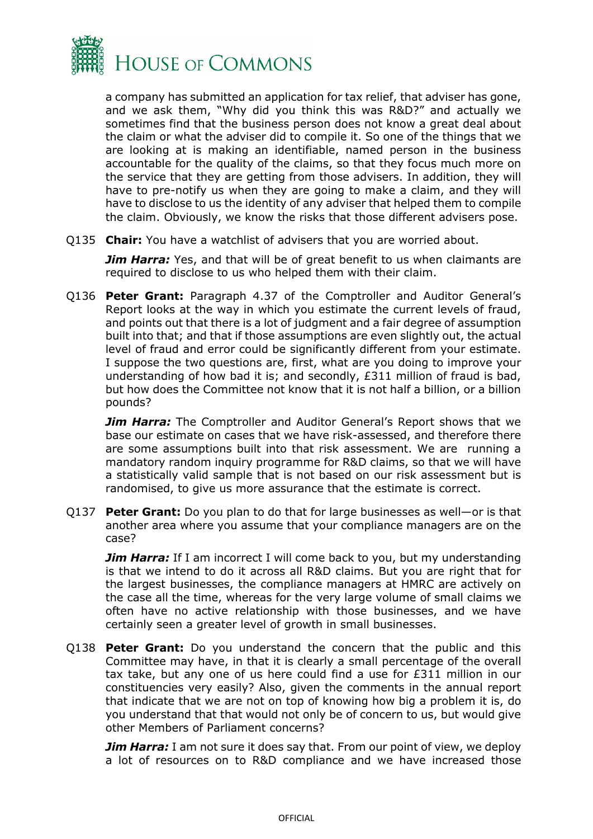

a company has submitted an application for tax relief, that adviser has gone, and we ask them, "Why did you think this was R&D?" and actually we sometimes find that the business person does not know a great deal about the claim or what the adviser did to compile it. So one of the things that we are looking at is making an identifiable, named person in the business accountable for the quality of the claims, so that they focus much more on the service that they are getting from those advisers. In addition, they will have to pre-notify us when they are going to make a claim, and they will have to disclose to us the identity of any adviser that helped them to compile the claim. Obviously, we know the risks that those different advisers pose.

Q135 **Chair:** You have a watchlist of advisers that you are worried about.

**Jim Harra:** Yes, and that will be of great benefit to us when claimants are required to disclose to us who helped them with their claim.

Q136 **Peter Grant:** Paragraph 4.37 of the Comptroller and Auditor General's Report looks at the way in which you estimate the current levels of fraud, and points out that there is a lot of judgment and a fair degree of assumption built into that; and that if those assumptions are even slightly out, the actual level of fraud and error could be significantly different from your estimate. I suppose the two questions are, first, what are you doing to improve your understanding of how bad it is; and secondly, £311 million of fraud is bad, but how does the Committee not know that it is not half a billion, or a billion pounds?

*Jim Harra:* The Comptroller and Auditor General's Report shows that we base our estimate on cases that we have risk-assessed, and therefore there are some assumptions built into that risk assessment. We are running a mandatory random inquiry programme for R&D claims, so that we will have a statistically valid sample that is not based on our risk assessment but is randomised, to give us more assurance that the estimate is correct.

Q137 **Peter Grant:** Do you plan to do that for large businesses as well—or is that another area where you assume that your compliance managers are on the case?

*Jim Harra:* If I am incorrect I will come back to you, but my understanding is that we intend to do it across all R&D claims. But you are right that for the largest businesses, the compliance managers at HMRC are actively on the case all the time, whereas for the very large volume of small claims we often have no active relationship with those businesses, and we have certainly seen a greater level of growth in small businesses.

Q138 **Peter Grant:** Do you understand the concern that the public and this Committee may have, in that it is clearly a small percentage of the overall tax take, but any one of us here could find a use for £311 million in our constituencies very easily? Also, given the comments in the annual report that indicate that we are not on top of knowing how big a problem it is, do you understand that that would not only be of concern to us, but would give other Members of Parliament concerns?

*Jim Harra:* I am not sure it does say that. From our point of view, we deploy a lot of resources on to R&D compliance and we have increased those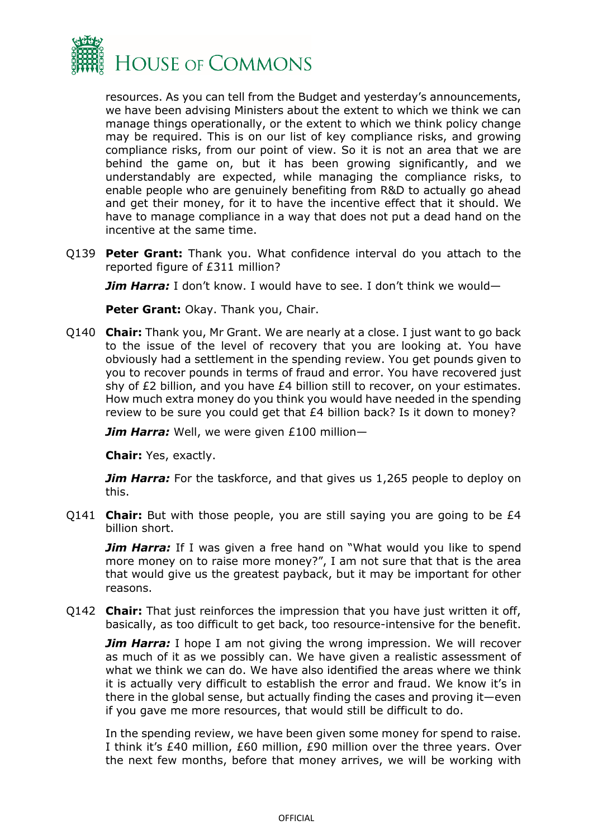

resources. As you can tell from the Budget and yesterday's announcements, we have been advising Ministers about the extent to which we think we can manage things operationally, or the extent to which we think policy change may be required. This is on our list of key compliance risks, and growing compliance risks, from our point of view. So it is not an area that we are behind the game on, but it has been growing significantly, and we understandably are expected, while managing the compliance risks, to enable people who are genuinely benefiting from R&D to actually go ahead and get their money, for it to have the incentive effect that it should. We have to manage compliance in a way that does not put a dead hand on the incentive at the same time.

Q139 **Peter Grant:** Thank you. What confidence interval do you attach to the reported figure of £311 million?

*Jim Harra:* I don't know. I would have to see. I don't think we would—

**Peter Grant:** Okay. Thank you, Chair.

Q140 **Chair:** Thank you, Mr Grant. We are nearly at a close. I just want to go back to the issue of the level of recovery that you are looking at. You have obviously had a settlement in the spending review. You get pounds given to you to recover pounds in terms of fraud and error. You have recovered just shy of £2 billion, and you have £4 billion still to recover, on your estimates. How much extra money do you think you would have needed in the spending review to be sure you could get that £4 billion back? Is it down to money?

*Jim Harra:* Well, we were given £100 million—

**Chair:** Yes, exactly.

**Jim Harra:** For the taskforce, and that gives us 1,265 people to deploy on this.

Q141 **Chair:** But with those people, you are still saying you are going to be £4 billion short.

**Jim Harra:** If I was given a free hand on "What would you like to spend more money on to raise more money?", I am not sure that that is the area that would give us the greatest payback, but it may be important for other reasons.

Q142 **Chair:** That just reinforces the impression that you have just written it off, basically, as too difficult to get back, too resource-intensive for the benefit.

*Jim Harra:* I hope I am not giving the wrong impression. We will recover as much of it as we possibly can. We have given a realistic assessment of what we think we can do. We have also identified the areas where we think it is actually very difficult to establish the error and fraud. We know it's in there in the global sense, but actually finding the cases and proving it—even if you gave me more resources, that would still be difficult to do.

In the spending review, we have been given some money for spend to raise. I think it's £40 million, £60 million, £90 million over the three years. Over the next few months, before that money arrives, we will be working with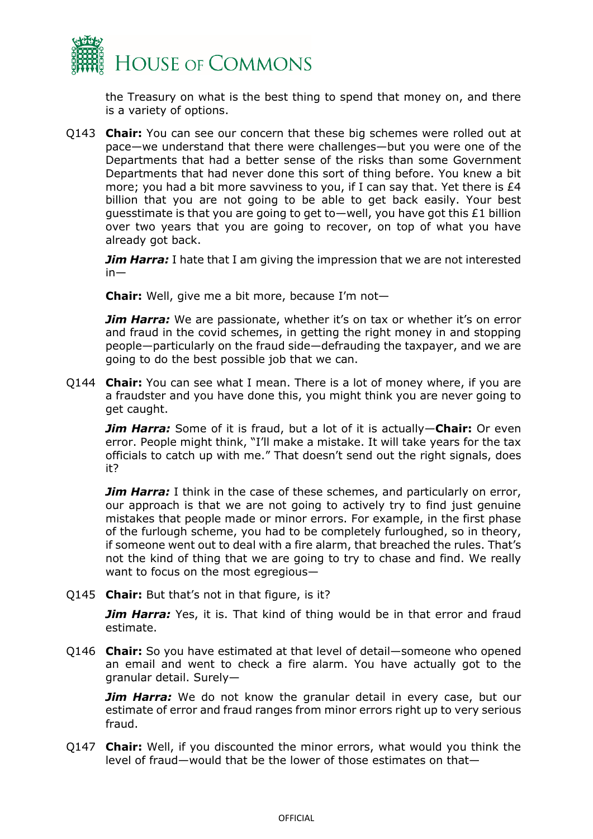

the Treasury on what is the best thing to spend that money on, and there is a variety of options.

Q143 **Chair:** You can see our concern that these big schemes were rolled out at pace—we understand that there were challenges—but you were one of the Departments that had a better sense of the risks than some Government Departments that had never done this sort of thing before. You knew a bit more; you had a bit more savviness to you, if I can say that. Yet there is  $£4$ billion that you are not going to be able to get back easily. Your best guesstimate is that you are going to get to—well, you have got this £1 billion over two years that you are going to recover, on top of what you have already got back.

*Jim Harra:* I hate that I am giving the impression that we are not interested in—

**Chair:** Well, give me a bit more, because I'm not—

*Jim Harra:* We are passionate, whether it's on tax or whether it's on error and fraud in the covid schemes, in getting the right money in and stopping people—particularly on the fraud side—defrauding the taxpayer, and we are going to do the best possible job that we can.

Q144 **Chair:** You can see what I mean. There is a lot of money where, if you are a fraudster and you have done this, you might think you are never going to get caught.

*Jim Harra:* Some of it is fraud, but a lot of it is actually—**Chair:** Or even error. People might think, "I'll make a mistake. It will take years for the tax officials to catch up with me." That doesn't send out the right signals, does it?

*Jim Harra:* I think in the case of these schemes, and particularly on error, our approach is that we are not going to actively try to find just genuine mistakes that people made or minor errors. For example, in the first phase of the furlough scheme, you had to be completely furloughed, so in theory, if someone went out to deal with a fire alarm, that breached the rules. That's not the kind of thing that we are going to try to chase and find. We really want to focus on the most egregious—

Q145 **Chair:** But that's not in that figure, is it?

**Jim Harra:** Yes, it is. That kind of thing would be in that error and fraud estimate.

Q146 **Chair:** So you have estimated at that level of detail—someone who opened an email and went to check a fire alarm. You have actually got to the granular detail. Surely—

**Jim Harra:** We do not know the granular detail in every case, but our estimate of error and fraud ranges from minor errors right up to very serious fraud.

Q147 **Chair:** Well, if you discounted the minor errors, what would you think the level of fraud—would that be the lower of those estimates on that—